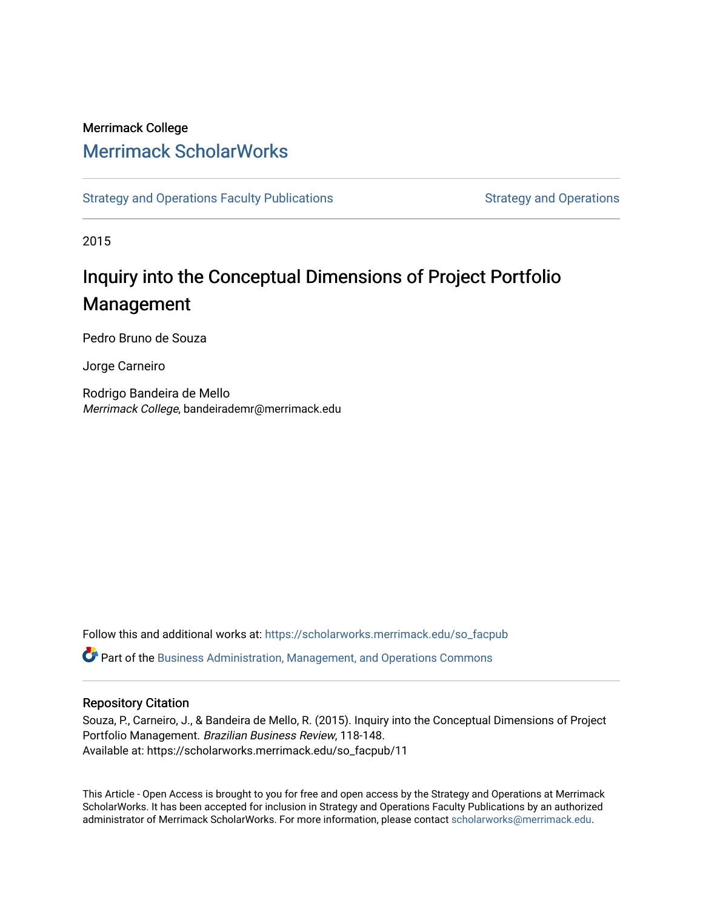## Merrimack College [Merrimack ScholarWorks](https://scholarworks.merrimack.edu/)

[Strategy and Operations Faculty Publications](https://scholarworks.merrimack.edu/so_facpub) [Strategy and Operations](https://scholarworks.merrimack.edu/so) Strategy and Operations

2015

# Inquiry into the Conceptual Dimensions of Project Portfolio Management

Pedro Bruno de Souza

Jorge Carneiro

Rodrigo Bandeira de Mello Merrimack College, bandeirademr@merrimack.edu

Follow this and additional works at: [https://scholarworks.merrimack.edu/so\\_facpub](https://scholarworks.merrimack.edu/so_facpub?utm_source=scholarworks.merrimack.edu%2Fso_facpub%2F11&utm_medium=PDF&utm_campaign=PDFCoverPages)  Part of the [Business Administration, Management, and Operations Commons](http://network.bepress.com/hgg/discipline/623?utm_source=scholarworks.merrimack.edu%2Fso_facpub%2F11&utm_medium=PDF&utm_campaign=PDFCoverPages)

#### Repository Citation

Souza, P., Carneiro, J., & Bandeira de Mello, R. (2015). Inquiry into the Conceptual Dimensions of Project Portfolio Management. Brazilian Business Review, 118-148. Available at: https://scholarworks.merrimack.edu/so\_facpub/11

This Article - Open Access is brought to you for free and open access by the Strategy and Operations at Merrimack ScholarWorks. It has been accepted for inclusion in Strategy and Operations Faculty Publications by an authorized administrator of Merrimack ScholarWorks. For more information, please contact [scholarworks@merrimack.edu](mailto:scholarworks@merrimack.edu).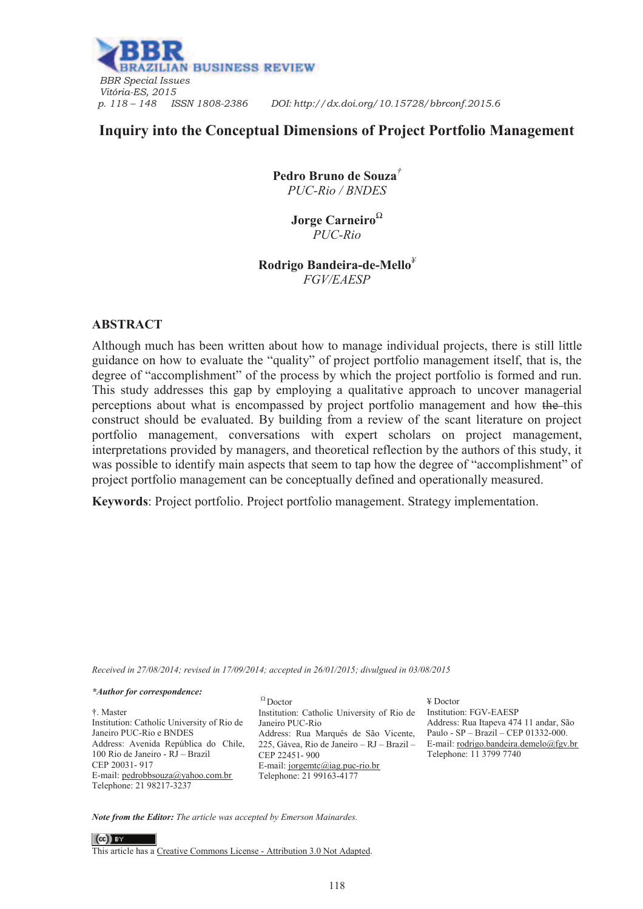

## **Inquiry into the Conceptual Dimensions of Project Portfolio Management**

**Pedro Bruno de Souza***† PUC-Rio / BNDES* 

> **Jorge Carneiro***<sup>Ω</sup> PUC-Rio*

**Rodrigo Bandeira-de-Mello***¥ FGV/EAESP* 

#### **ABSTRACT**

Although much has been written about how to manage individual projects, there is still little guidance on how to evaluate the "quality" of project portfolio management itself, that is, the degree of "accomplishment" of the process by which the project portfolio is formed and run. This study addresses this gap by employing a qualitative approach to uncover managerial perceptions about what is encompassed by project portfolio management and how the this construct should be evaluated. By building from a review of the scant literature on project portfolio management, conversations with expert scholars on project management, interpretations provided by managers, and theoretical reflection by the authors of this study, it was possible to identify main aspects that seem to tap how the degree of "accomplishment" of project portfolio management can be conceptually defined and operationally measured.

**Keywords**: Project portfolio. Project portfolio management. Strategy implementation.

*Received in 27/08/2014; revised in 17/09/2014; accepted in 26/01/2015; divulgued in 03/08/2015* 

#### *\*Author for correspondence:*

†. Master Institution: Catholic University of Rio de Janeiro PUC-Rio e BNDES Address: Avenida República do Chile, 100 Rio de Janeiro - RJ – Brazil CEP 20031- 917 E-mail: pedrobbsouza@yahoo.com.br Telephone: 21 98217-3237

 $\Omega$  Doctor Institution: Catholic University of Rio de Janeiro PUC-Rio Address: Rua Marquês de São Vicente, 225, Gávea, Rio de Janeiro – RJ – Brazil – CEP 22451- 900 E-mail: jorgemtc@iag.puc-rio.br Telephone: 21 99163-4177

¥ Doctor Institution: FGV-EAESP Address: Rua Itapeva 474 11 andar, São Paulo - SP – Brazil – CEP 01332-000. E-mail: rodrigo.bandeira.demelo@fgv.br Telephone: 11 3799 7740

*Note from the Editor: The article was accepted by Emerson Mainardes.* 

 $(cc)$  BY This article has a Creative Commons License - Attribution 3.0 Not Adapted.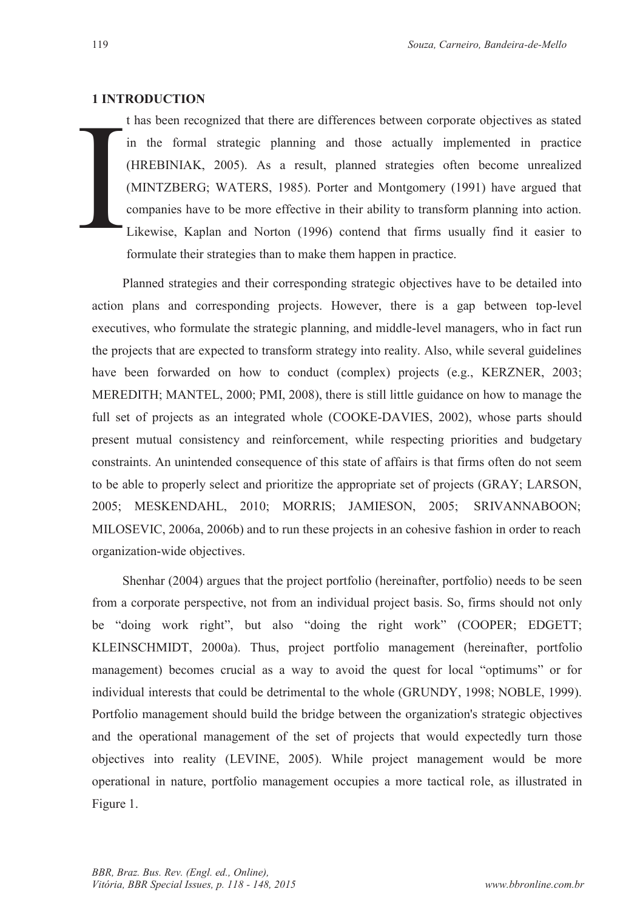#### **1 INTRODUCTION**

t has be<br>
in the<br>
(HREB<br>
(MINT<br>
compar<br>
Likewistormula t has been recognized that there are differences between corporate objectives as stated in the formal strategic planning and those actually implemented in practice (HREBINIAK, 2005). As a result, planned strategies often become unrealized (MINTZBERG; WATERS, 1985). Porter and Montgomery (1991) have argued that companies have to be more effective in their ability to transform planning into action. Likewise, Kaplan and Norton (1996) contend that firms usually find it easier to formulate their strategies than to make them happen in practice.

Planned strategies and their corresponding strategic objectives have to be detailed into action plans and corresponding projects. However, there is a gap between top-level executives, who formulate the strategic planning, and middle-level managers, who in fact run the projects that are expected to transform strategy into reality. Also, while several guidelines have been forwarded on how to conduct (complex) projects (e.g., KERZNER, 2003; MEREDITH; MANTEL, 2000; PMI, 2008), there is still little guidance on how to manage the full set of projects as an integrated whole (COOKE-DAVIES, 2002), whose parts should present mutual consistency and reinforcement, while respecting priorities and budgetary constraints. An unintended consequence of this state of affairs is that firms often do not seem to be able to properly select and prioritize the appropriate set of projects (GRAY; LARSON, 2005; MESKENDAHL, 2010; MORRIS; JAMIESON, 2005; SRIVANNABOON; MILOSEVIC, 2006a, 2006b) and to run these projects in an cohesive fashion in order to reach organization-wide objectives.

Shenhar (2004) argues that the project portfolio (hereinafter, portfolio) needs to be seen from a corporate perspective, not from an individual project basis. So, firms should not only be "doing work right", but also "doing the right work" (COOPER; EDGETT; KLEINSCHMIDT, 2000a). Thus, project portfolio management (hereinafter, portfolio management) becomes crucial as a way to avoid the quest for local "optimums" or for individual interests that could be detrimental to the whole (GRUNDY, 1998; NOBLE, 1999). Portfolio management should build the bridge between the organization's strategic objectives and the operational management of the set of projects that would expectedly turn those objectives into reality (LEVINE, 2005). While project management would be more operational in nature, portfolio management occupies a more tactical role, as illustrated in Figure 1.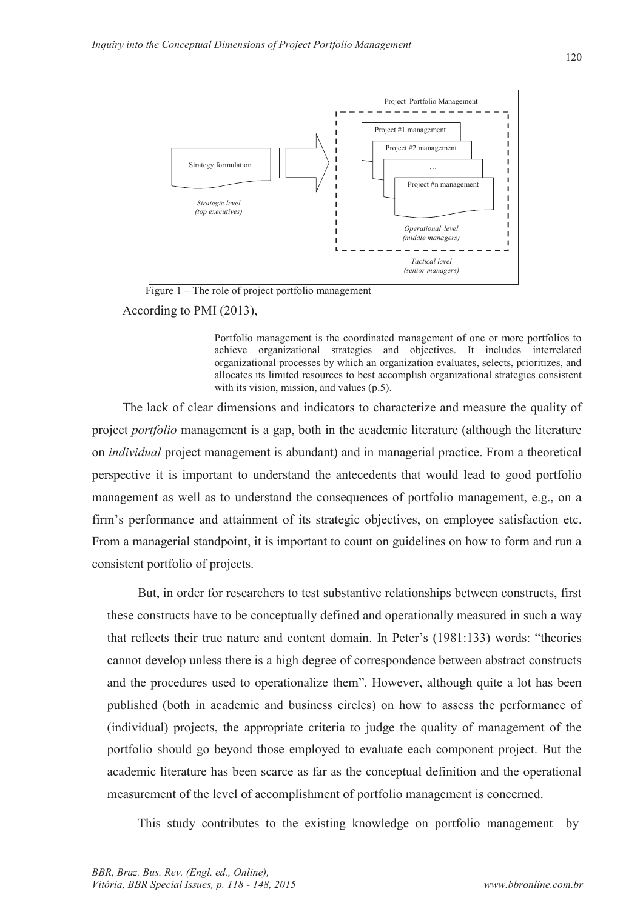

Figure 1 – The role of project portfolio management

According to PMI (2013),

Portfolio management is the coordinated management of one or more portfolios to achieve organizational strategies and objectives. It includes interrelated organizational processes by which an organization evaluates, selects, prioritizes, and allocates its limited resources to best accomplish organizational strategies consistent with its vision, mission, and values (p.5).

The lack of clear dimensions and indicators to characterize and measure the quality of project *portfolio* management is a gap, both in the academic literature (although the literature on *individual* project management is abundant) and in managerial practice. From a theoretical perspective it is important to understand the antecedents that would lead to good portfolio management as well as to understand the consequences of portfolio management, e.g., on a firm's performance and attainment of its strategic objectives, on employee satisfaction etc. From a managerial standpoint, it is important to count on guidelines on how to form and run a consistent portfolio of projects.

But, in order for researchers to test substantive relationships between constructs, first these constructs have to be conceptually defined and operationally measured in such a way that reflects their true nature and content domain. In Peter's (1981:133) words: "theories cannot develop unless there is a high degree of correspondence between abstract constructs and the procedures used to operationalize them". However, although quite a lot has been published (both in academic and business circles) on how to assess the performance of (individual) projects, the appropriate criteria to judge the quality of management of the portfolio should go beyond those employed to evaluate each component project. But the academic literature has been scarce as far as the conceptual definition and the operational measurement of the level of accomplishment of portfolio management is concerned.

This study contributes to the existing knowledge on portfolio management by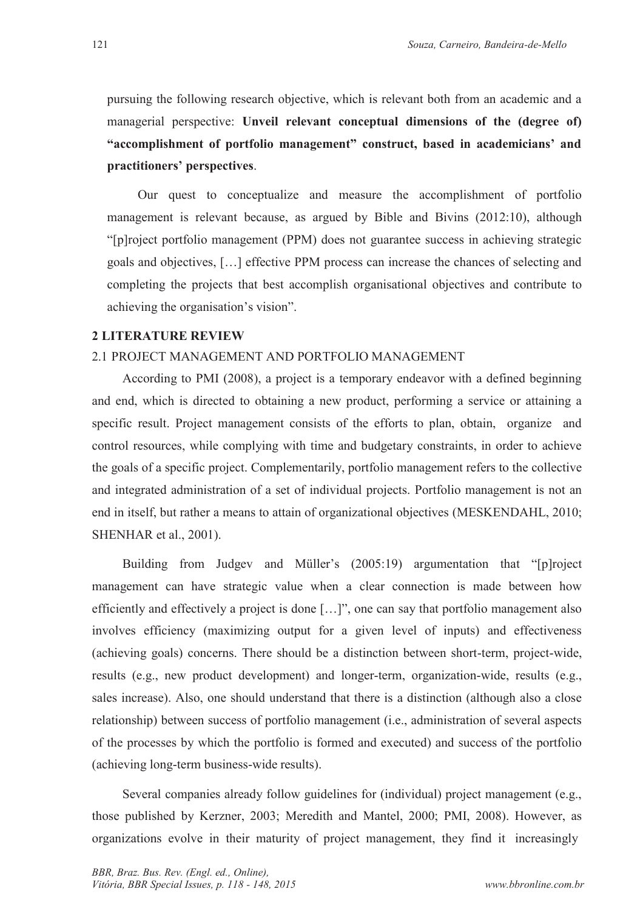pursuing the following research objective, which is relevant both from an academic and a managerial perspective: **Unveil relevant conceptual dimensions of the (degree of) "accomplishment of portfolio management" construct, based in academicians' and practitioners' perspectives**.

Our quest to conceptualize and measure the accomplishment of portfolio management is relevant because, as argued by Bible and Bivins (2012:10), although "[p]roject portfolio management (PPM) does not guarantee success in achieving strategic goals and objectives, […] effective PPM process can increase the chances of selecting and completing the projects that best accomplish organisational objectives and contribute to achieving the organisation's vision".

#### **2 LITERATURE REVIEW**

#### 2.1 PROJECT MANAGEMENT AND PORTFOLIO MANAGEMENT

According to PMI (2008), a project is a temporary endeavor with a defined beginning and end, which is directed to obtaining a new product, performing a service or attaining a specific result. Project management consists of the efforts to plan, obtain, organize and control resources, while complying with time and budgetary constraints, in order to achieve the goals of a specific project. Complementarily, portfolio management refers to the collective and integrated administration of a set of individual projects. Portfolio management is not an end in itself, but rather a means to attain of organizational objectives (MESKENDAHL, 2010; SHENHAR et al., 2001).

Building from Judgev and Müller's (2005:19) argumentation that "[p]roject management can have strategic value when a clear connection is made between how efficiently and effectively a project is done […]", one can say that portfolio management also involves efficiency (maximizing output for a given level of inputs) and effectiveness (achieving goals) concerns. There should be a distinction between short-term, project-wide, results (e.g., new product development) and longer-term, organization-wide, results (e.g., sales increase). Also, one should understand that there is a distinction (although also a close relationship) between success of portfolio management (i.e., administration of several aspects of the processes by which the portfolio is formed and executed) and success of the portfolio (achieving long-term business-wide results).

Several companies already follow guidelines for (individual) project management (e.g., those published by Kerzner, 2003; Meredith and Mantel, 2000; PMI, 2008). However, as organizations evolve in their maturity of project management, they find it increasingly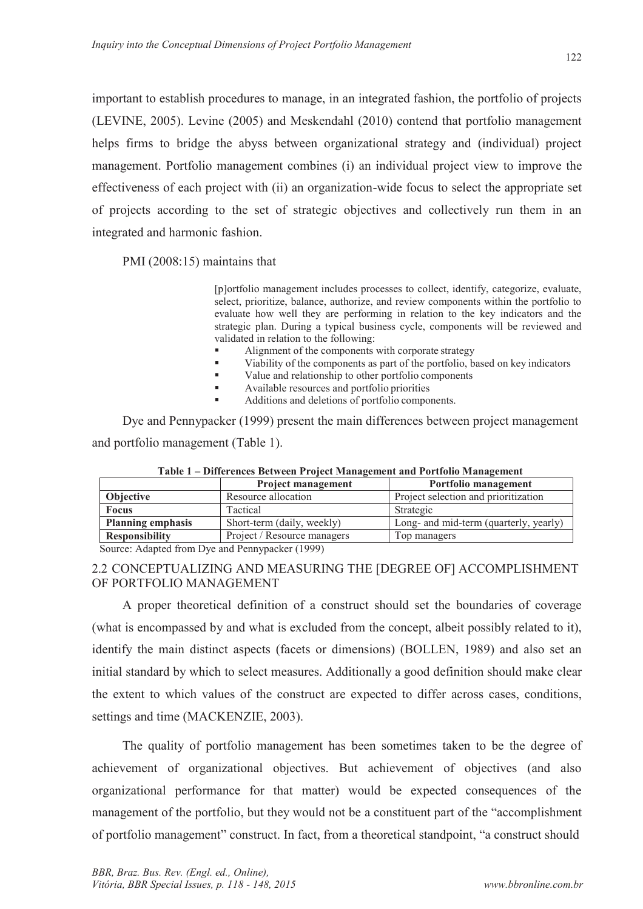important to establish procedures to manage, in an integrated fashion, the portfolio of projects (LEVINE, 2005). Levine (2005) and Meskendahl (2010) contend that portfolio management helps firms to bridge the abyss between organizational strategy and (individual) project management. Portfolio management combines (i) an individual project view to improve the effectiveness of each project with (ii) an organization-wide focus to select the appropriate set of projects according to the set of strategic objectives and collectively run them in an integrated and harmonic fashion.

PMI (2008:15) maintains that

[p]ortfolio management includes processes to collect, identify, categorize, evaluate, select, prioritize, balance, authorize, and review components within the portfolio to evaluate how well they are performing in relation to the key indicators and the strategic plan. During a typical business cycle, components will be reviewed and validated in relation to the following:

- ß Alignment of the components with corporate strategy
- Viability of the components as part of the portfolio, based on key indicators
- value and relationship to other portfolio components
- ß Available resources and portfolio priorities
- ß Additions and deletions of portfolio components.

Dye and Pennypacker (1999) present the main differences between project management and portfolio management (Table 1).

|                          | <b>Project management</b>   | Portfolio management                   |
|--------------------------|-----------------------------|----------------------------------------|
| Objective                | Resource allocation         | Project selection and prioritization   |
| <b>Focus</b>             | Tactical                    | Strategic                              |
| <b>Planning emphasis</b> | Short-term (daily, weekly)  | Long- and mid-term (quarterly, yearly) |
| <b>Responsibility</b>    | Project / Resource managers | Top managers                           |

**Table 1 – Differences Between Project Management and Portfolio Management** 

Source: Adapted from Dye and Pennypacker (1999)

2.2 CONCEPTUALIZING AND MEASURING THE [DEGREE OF] ACCOMPLISHMENT OF PORTFOLIO MANAGEMENT

A proper theoretical definition of a construct should set the boundaries of coverage (what is encompassed by and what is excluded from the concept, albeit possibly related to it), identify the main distinct aspects (facets or dimensions) (BOLLEN, 1989) and also set an initial standard by which to select measures. Additionally a good definition should make clear the extent to which values of the construct are expected to differ across cases, conditions, settings and time (MACKENZIE, 2003).

The quality of portfolio management has been sometimes taken to be the degree of achievement of organizational objectives. But achievement of objectives (and also organizational performance for that matter) would be expected consequences of the management of the portfolio, but they would not be a constituent part of the "accomplishment of portfolio management" construct. In fact, from a theoretical standpoint, "a construct should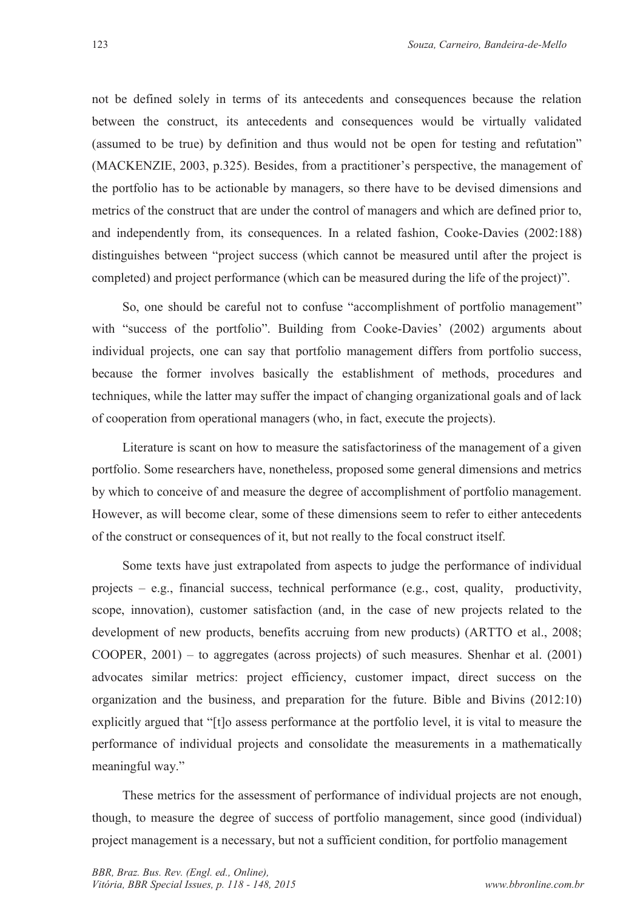not be defined solely in terms of its antecedents and consequences because the relation between the construct, its antecedents and consequences would be virtually validated (assumed to be true) by definition and thus would not be open for testing and refutation" (MACKENZIE, 2003, p.325). Besides, from a practitioner's perspective, the management of the portfolio has to be actionable by managers, so there have to be devised dimensions and metrics of the construct that are under the control of managers and which are defined prior to, and independently from, its consequences. In a related fashion, Cooke-Davies (2002:188) distinguishes between "project success (which cannot be measured until after the project is completed) and project performance (which can be measured during the life of the project)".

So, one should be careful not to confuse "accomplishment of portfolio management" with "success of the portfolio". Building from Cooke-Davies' (2002) arguments about individual projects, one can say that portfolio management differs from portfolio success, because the former involves basically the establishment of methods, procedures and techniques, while the latter may suffer the impact of changing organizational goals and of lack of cooperation from operational managers (who, in fact, execute the projects).

Literature is scant on how to measure the satisfactoriness of the management of a given portfolio. Some researchers have, nonetheless, proposed some general dimensions and metrics by which to conceive of and measure the degree of accomplishment of portfolio management. However, as will become clear, some of these dimensions seem to refer to either antecedents of the construct or consequences of it, but not really to the focal construct itself.

Some texts have just extrapolated from aspects to judge the performance of individual projects – e.g., financial success, technical performance (e.g., cost, quality, productivity, scope, innovation), customer satisfaction (and, in the case of new projects related to the development of new products, benefits accruing from new products) (ARTTO et al., 2008; COOPER, 2001) – to aggregates (across projects) of such measures. Shenhar et al. (2001) advocates similar metrics: project efficiency, customer impact, direct success on the organization and the business, and preparation for the future. Bible and Bivins (2012:10) explicitly argued that "[t]o assess performance at the portfolio level, it is vital to measure the performance of individual projects and consolidate the measurements in a mathematically meaningful way."

These metrics for the assessment of performance of individual projects are not enough, though, to measure the degree of success of portfolio management, since good (individual) project management is a necessary, but not a sufficient condition, for portfolio management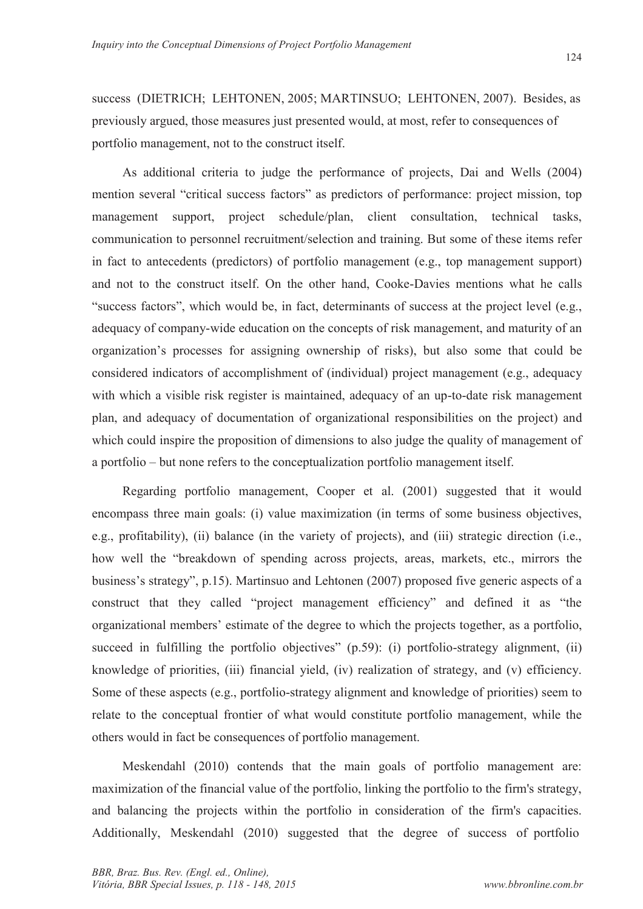success (DIETRICH; LEHTONEN, 2005; MARTINSUO; LEHTONEN, 2007). Besides, as previously argued, those measures just presented would, at most, refer to consequences of portfolio management, not to the construct itself.

As additional criteria to judge the performance of projects, Dai and Wells (2004) mention several "critical success factors" as predictors of performance: project mission, top management support, project schedule/plan, client consultation, technical tasks, communication to personnel recruitment/selection and training. But some of these items refer in fact to antecedents (predictors) of portfolio management (e.g., top management support) and not to the construct itself. On the other hand, Cooke-Davies mentions what he calls "success factors", which would be, in fact, determinants of success at the project level (e.g., adequacy of company-wide education on the concepts of risk management, and maturity of an organization's processes for assigning ownership of risks), but also some that could be considered indicators of accomplishment of (individual) project management (e.g., adequacy with which a visible risk register is maintained, adequacy of an up-to-date risk management plan, and adequacy of documentation of organizational responsibilities on the project) and which could inspire the proposition of dimensions to also judge the quality of management of a portfolio – but none refers to the conceptualization portfolio management itself.

Regarding portfolio management, Cooper et al. (2001) suggested that it would encompass three main goals: (i) value maximization (in terms of some business objectives, e.g., profitability), (ii) balance (in the variety of projects), and (iii) strategic direction (i.e., how well the "breakdown of spending across projects, areas, markets, etc., mirrors the business's strategy", p.15). Martinsuo and Lehtonen (2007) proposed five generic aspects of a construct that they called "project management efficiency" and defined it as "the organizational members' estimate of the degree to which the projects together, as a portfolio, succeed in fulfilling the portfolio objectives"  $(p.59)$ : (i) portfolio-strategy alignment, (ii) knowledge of priorities, (iii) financial yield, (iv) realization of strategy, and (v) efficiency. Some of these aspects (e.g., portfolio-strategy alignment and knowledge of priorities) seem to relate to the conceptual frontier of what would constitute portfolio management, while the others would in fact be consequences of portfolio management.

Meskendahl (2010) contends that the main goals of portfolio management are: maximization of the financial value of the portfolio, linking the portfolio to the firm's strategy, and balancing the projects within the portfolio in consideration of the firm's capacities. Additionally, Meskendahl (2010) suggested that the degree of success of portfolio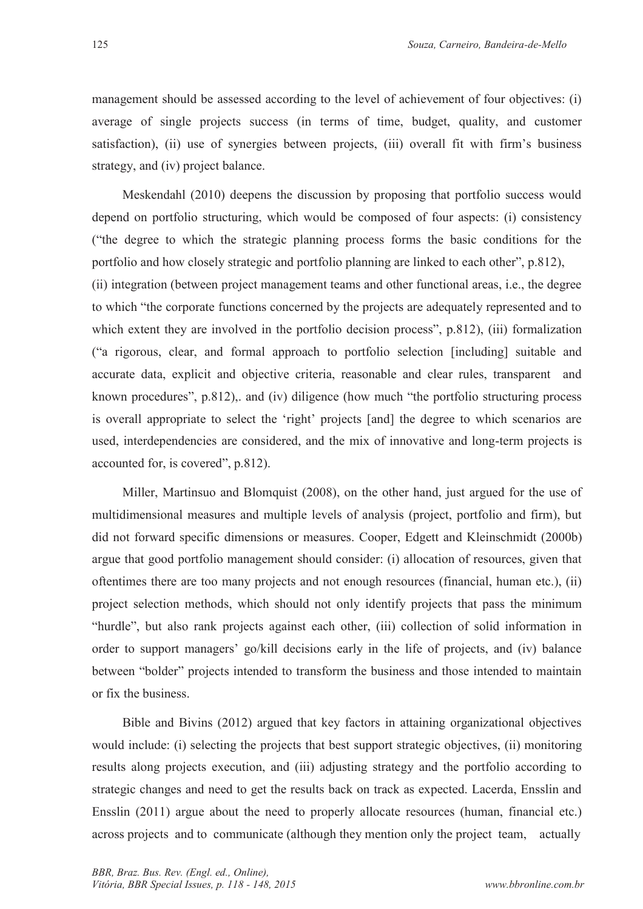management should be assessed according to the level of achievement of four objectives: (i) average of single projects success (in terms of time, budget, quality, and customer satisfaction), (ii) use of synergies between projects, (iii) overall fit with firm's business strategy, and (iv) project balance.

Meskendahl (2010) deepens the discussion by proposing that portfolio success would depend on portfolio structuring, which would be composed of four aspects: (i) consistency ("the degree to which the strategic planning process forms the basic conditions for the portfolio and how closely strategic and portfolio planning are linked to each other", p.812), (ii) integration (between project management teams and other functional areas, i.e., the degree to which "the corporate functions concerned by the projects are adequately represented and to which extent they are involved in the portfolio decision process", p.812), (iii) formalization ("a rigorous, clear, and formal approach to portfolio selection [including] suitable and accurate data, explicit and objective criteria, reasonable and clear rules, transparent and known procedures", p.812),. and (iv) diligence (how much "the portfolio structuring process is overall appropriate to select the 'right' projects [and] the degree to which scenarios are used, interdependencies are considered, and the mix of innovative and long-term projects is accounted for, is covered", p.812).

Miller, Martinsuo and Blomquist (2008), on the other hand, just argued for the use of multidimensional measures and multiple levels of analysis (project, portfolio and firm), but did not forward specific dimensions or measures. Cooper, Edgett and Kleinschmidt (2000b) argue that good portfolio management should consider: (i) allocation of resources, given that oftentimes there are too many projects and not enough resources (financial, human etc.), (ii) project selection methods, which should not only identify projects that pass the minimum "hurdle", but also rank projects against each other, (iii) collection of solid information in order to support managers' go/kill decisions early in the life of projects, and (iv) balance between "bolder" projects intended to transform the business and those intended to maintain or fix the business.

Bible and Bivins (2012) argued that key factors in attaining organizational objectives would include: (i) selecting the projects that best support strategic objectives, (ii) monitoring results along projects execution, and (iii) adjusting strategy and the portfolio according to strategic changes and need to get the results back on track as expected. Lacerda, Ensslin and Ensslin (2011) argue about the need to properly allocate resources (human, financial etc.) across projects and to communicate (although they mention only the project team, actually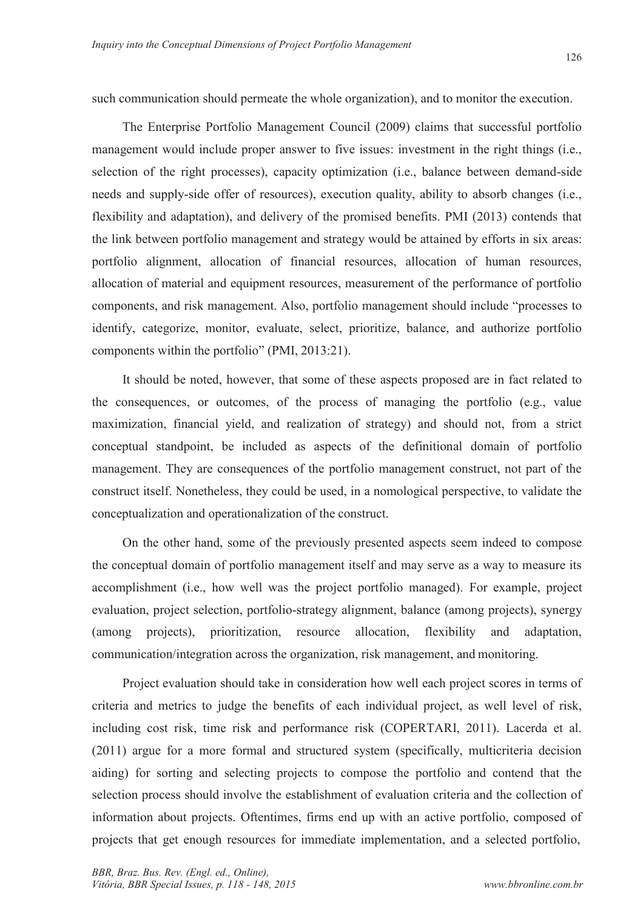such communication should permeate the whole organization), and to monitor the execution.

The Enterprise Portfolio Management Council (2009) claims that successful portfolio management would include proper answer to five issues: investment in the right things (i.e., selection of the right processes), capacity optimization (i.e., balance between demand-side needs and supply-side offer of resources), execution quality, ability to absorb changes (i.e., flexibility and adaptation), and delivery of the promised benefits. PMI (2013) contends that the link between portfolio management and strategy would be attained by efforts in six areas: portfolio alignment, allocation of financial resources, allocation of human resources, allocation of material and equipment resources, measurement of the performance of portfolio components, and risk management. Also, portfolio management should include "processes to identify, categorize, monitor, evaluate, select, prioritize, balance, and authorize portfolio components within the portfolio" (PMI, 2013:21).

It should be noted, however, that some of these aspects proposed are in fact related to the consequences, or outcomes, of the process of managing the portfolio (e.g., value maximization, financial yield, and realization of strategy) and should not, from a strict conceptual standpoint, be included as aspects of the definitional domain of portfolio management. They are consequences of the portfolio management construct, not part of the construct itself. Nonetheless, they could be used, in a nomological perspective, to validate the conceptualization and operationalization of the construct.

On the other hand, some of the previously presented aspects seem indeed to compose the conceptual domain of portfolio management itself and may serve as a way to measure its accomplishment (i.e., how well was the project portfolio managed). For example, project evaluation, project selection, portfolio-strategy alignment, balance (among projects), synergy (among projects), prioritization, resource allocation, flexibility and adaptation, communication/integration across the organization, risk management, and monitoring.

Project evaluation should take in consideration how well each project scores in terms of criteria and metrics to judge the benefits of each individual project, as well level of risk, including cost risk, time risk and performance risk (COPERTARI, 2011). Lacerda et al. (2011) argue for a more formal and structured system (specifically, multicriteria decision aiding) for sorting and selecting projects to compose the portfolio and contend that the selection process should involve the establishment of evaluation criteria and the collection of information about projects. Oftentimes, firms end up with an active portfolio, composed of projects that get enough resources for immediate implementation, and a selected portfolio,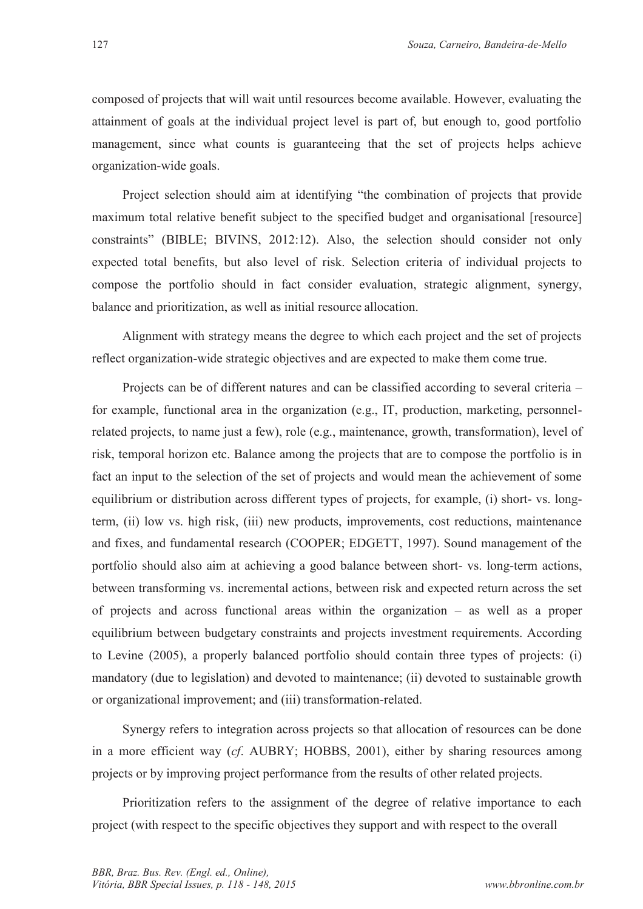composed of projects that will wait until resources become available. However, evaluating the attainment of goals at the individual project level is part of, but enough to, good portfolio management, since what counts is guaranteeing that the set of projects helps achieve organization-wide goals.

Project selection should aim at identifying "the combination of projects that provide maximum total relative benefit subject to the specified budget and organisational [resource] constraints" (BIBLE; BIVINS, 2012:12). Also, the selection should consider not only expected total benefits, but also level of risk. Selection criteria of individual projects to compose the portfolio should in fact consider evaluation, strategic alignment, synergy, balance and prioritization, as well as initial resource allocation.

Alignment with strategy means the degree to which each project and the set of projects reflect organization-wide strategic objectives and are expected to make them come true.

Projects can be of different natures and can be classified according to several criteria – for example, functional area in the organization (e.g., IT, production, marketing, personnelrelated projects, to name just a few), role (e.g., maintenance, growth, transformation), level of risk, temporal horizon etc. Balance among the projects that are to compose the portfolio is in fact an input to the selection of the set of projects and would mean the achievement of some equilibrium or distribution across different types of projects, for example, (i) short- vs. longterm, (ii) low vs. high risk, (iii) new products, improvements, cost reductions, maintenance and fixes, and fundamental research (COOPER; EDGETT, 1997). Sound management of the portfolio should also aim at achieving a good balance between short- vs. long-term actions, between transforming vs. incremental actions, between risk and expected return across the set of projects and across functional areas within the organization – as well as a proper equilibrium between budgetary constraints and projects investment requirements. According to Levine (2005), a properly balanced portfolio should contain three types of projects: (i) mandatory (due to legislation) and devoted to maintenance; (ii) devoted to sustainable growth or organizational improvement; and (iii) transformation-related.

Synergy refers to integration across projects so that allocation of resources can be done in a more efficient way (*cf*. AUBRY; HOBBS, 2001), either by sharing resources among projects or by improving project performance from the results of other related projects.

Prioritization refers to the assignment of the degree of relative importance to each project (with respect to the specific objectives they support and with respect to the overall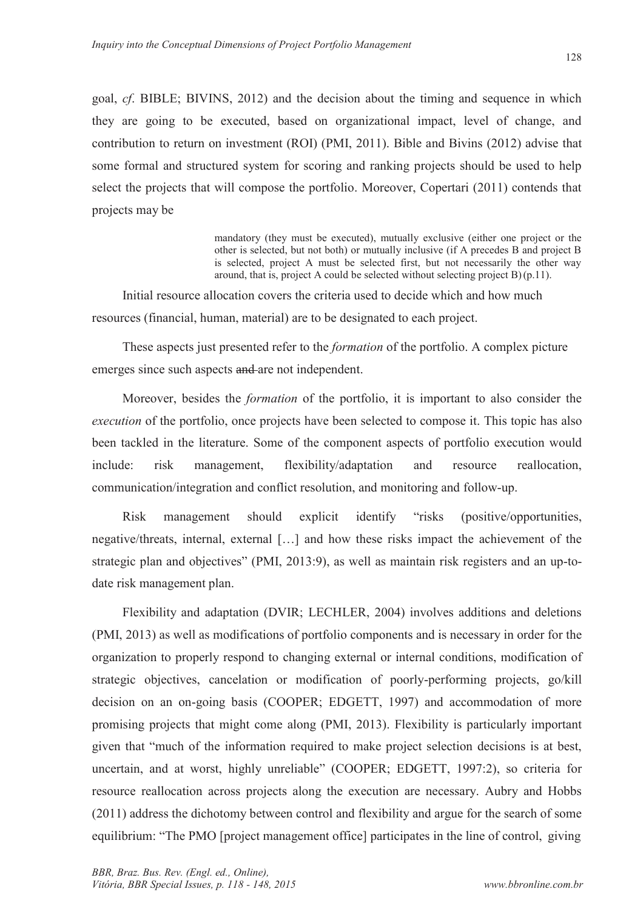goal, *cf*. BIBLE; BIVINS, 2012) and the decision about the timing and sequence in which they are going to be executed, based on organizational impact, level of change, and contribution to return on investment (ROI) (PMI, 2011). Bible and Bivins (2012) advise that some formal and structured system for scoring and ranking projects should be used to help select the projects that will compose the portfolio. Moreover, Copertari (2011) contends that projects may be

> mandatory (they must be executed), mutually exclusive (either one project or the other is selected, but not both) or mutually inclusive (if A precedes B and project B is selected, project A must be selected first, but not necessarily the other way around, that is, project A could be selected without selecting project B) (p.11).

Initial resource allocation covers the criteria used to decide which and how much resources (financial, human, material) are to be designated to each project.

These aspects just presented refer to the *formation* of the portfolio. A complex picture emerges since such aspects and are not independent.

Moreover, besides the *formation* of the portfolio, it is important to also consider the *execution* of the portfolio, once projects have been selected to compose it. This topic has also been tackled in the literature. Some of the component aspects of portfolio execution would include: risk management, flexibility/adaptation and resource reallocation, communication/integration and conflict resolution, and monitoring and follow-up.

Risk management should explicit identify "risks (positive/opportunities, negative/threats, internal, external […] and how these risks impact the achievement of the strategic plan and objectives" (PMI, 2013:9), as well as maintain risk registers and an up-todate risk management plan.

Flexibility and adaptation (DVIR; LECHLER, 2004) involves additions and deletions (PMI, 2013) as well as modifications of portfolio components and is necessary in order for the organization to properly respond to changing external or internal conditions, modification of strategic objectives, cancelation or modification of poorly-performing projects, go/kill decision on an on-going basis (COOPER; EDGETT, 1997) and accommodation of more promising projects that might come along (PMI, 2013). Flexibility is particularly important given that "much of the information required to make project selection decisions is at best, uncertain, and at worst, highly unreliable" (COOPER; EDGETT, 1997:2), so criteria for resource reallocation across projects along the execution are necessary. Aubry and Hobbs (2011) address the dichotomy between control and flexibility and argue for the search of some equilibrium: "The PMO [project management office] participates in the line of control, giving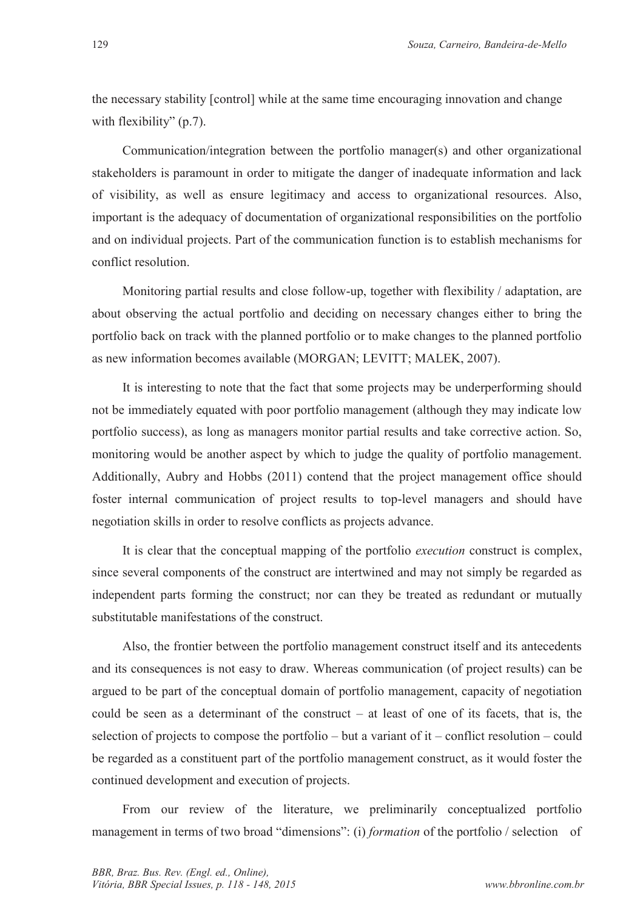the necessary stability [control] while at the same time encouraging innovation and change with flexibility" (p.7).

Communication/integration between the portfolio manager(s) and other organizational stakeholders is paramount in order to mitigate the danger of inadequate information and lack of visibility, as well as ensure legitimacy and access to organizational resources. Also, important is the adequacy of documentation of organizational responsibilities on the portfolio and on individual projects. Part of the communication function is to establish mechanisms for conflict resolution.

Monitoring partial results and close follow-up, together with flexibility / adaptation, are about observing the actual portfolio and deciding on necessary changes either to bring the portfolio back on track with the planned portfolio or to make changes to the planned portfolio as new information becomes available (MORGAN; LEVITT; MALEK, 2007).

It is interesting to note that the fact that some projects may be underperforming should not be immediately equated with poor portfolio management (although they may indicate low portfolio success), as long as managers monitor partial results and take corrective action. So, monitoring would be another aspect by which to judge the quality of portfolio management. Additionally, Aubry and Hobbs (2011) contend that the project management office should foster internal communication of project results to top-level managers and should have negotiation skills in order to resolve conflicts as projects advance.

It is clear that the conceptual mapping of the portfolio *execution* construct is complex, since several components of the construct are intertwined and may not simply be regarded as independent parts forming the construct; nor can they be treated as redundant or mutually substitutable manifestations of the construct.

Also, the frontier between the portfolio management construct itself and its antecedents and its consequences is not easy to draw. Whereas communication (of project results) can be argued to be part of the conceptual domain of portfolio management, capacity of negotiation could be seen as a determinant of the construct – at least of one of its facets, that is, the selection of projects to compose the portfolio – but a variant of it – conflict resolution – could be regarded as a constituent part of the portfolio management construct, as it would foster the continued development and execution of projects.

From our review of the literature, we preliminarily conceptualized portfolio management in terms of two broad "dimensions": (i) *formation* of the portfolio / selection of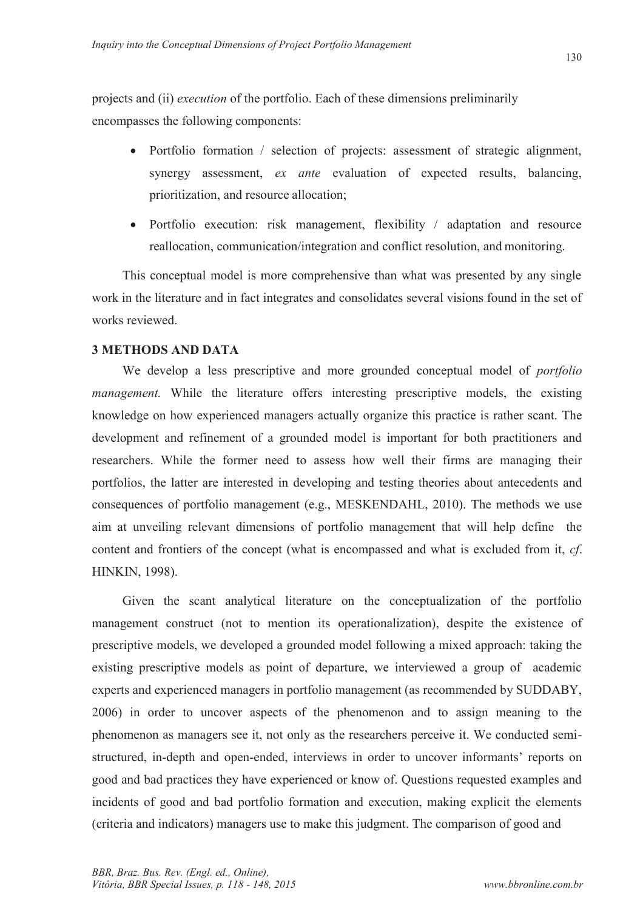projects and (ii) *execution* of the portfolio. Each of these dimensions preliminarily encompasses the following components:

- Portfolio formation / selection of projects: assessment of strategic alignment, synergy assessment, *ex ante* evaluation of expected results, balancing, prioritization, and resource allocation;
- Portfolio execution: risk management, flexibility / adaptation and resource reallocation, communication/integration and conflict resolution, and monitoring.

This conceptual model is more comprehensive than what was presented by any single work in the literature and in fact integrates and consolidates several visions found in the set of works reviewed.

## **3 METHODS AND DATA**

We develop a less prescriptive and more grounded conceptual model of *portfolio management*. While the literature offers interesting prescriptive models, the existing knowledge on how experienced managers actually organize this practice is rather scant. The development and refinement of a grounded model is important for both practitioners and researchers. While the former need to assess how well their firms are managing their portfolios, the latter are interested in developing and testing theories about antecedents and consequences of portfolio management (e.g., MESKENDAHL, 2010). The methods we use aim at unveiling relevant dimensions of portfolio management that will help define the content and frontiers of the concept (what is encompassed and what is excluded from it, *cf*. HINKIN, 1998).

Given the scant analytical literature on the conceptualization of the portfolio management construct (not to mention its operationalization), despite the existence of prescriptive models, we developed a grounded model following a mixed approach: taking the existing prescriptive models as point of departure, we interviewed a group of academic experts and experienced managers in portfolio management (as recommended by SUDDABY, 2006) in order to uncover aspects of the phenomenon and to assign meaning to the phenomenon as managers see it, not only as the researchers perceive it. We conducted semistructured, in-depth and open-ended, interviews in order to uncover informants' reports on good and bad practices they have experienced or know of. Questions requested examples and incidents of good and bad portfolio formation and execution, making explicit the elements (criteria and indicators) managers use to make this judgment. The comparison of good and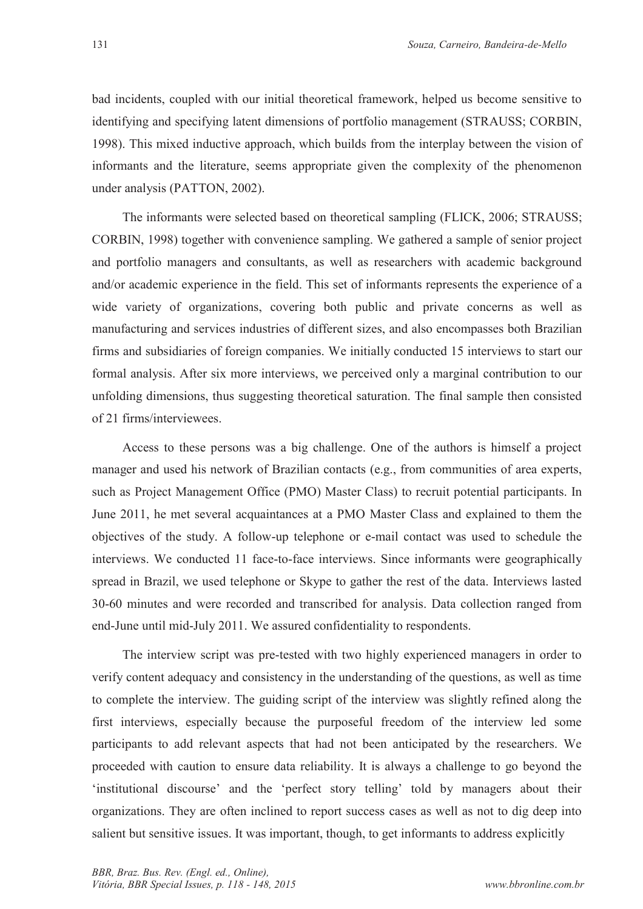bad incidents, coupled with our initial theoretical framework, helped us become sensitive to identifying and specifying latent dimensions of portfolio management (STRAUSS; CORBIN, 1998). This mixed inductive approach, which builds from the interplay between the vision of informants and the literature, seems appropriate given the complexity of the phenomenon under analysis (PATTON, 2002).

The informants were selected based on theoretical sampling (FLICK, 2006; STRAUSS; CORBIN, 1998) together with convenience sampling. We gathered a sample of senior project and portfolio managers and consultants, as well as researchers with academic background and/or academic experience in the field. This set of informants represents the experience of a wide variety of organizations, covering both public and private concerns as well as manufacturing and services industries of different sizes, and also encompasses both Brazilian firms and subsidiaries of foreign companies. We initially conducted 15 interviews to start our formal analysis. After six more interviews, we perceived only a marginal contribution to our unfolding dimensions, thus suggesting theoretical saturation. The final sample then consisted of 21 firms/interviewees.

Access to these persons was a big challenge. One of the authors is himself a project manager and used his network of Brazilian contacts (e.g., from communities of area experts, such as Project Management Office (PMO) Master Class) to recruit potential participants. In June 2011, he met several acquaintances at a PMO Master Class and explained to them the objectives of the study. A follow-up telephone or e-mail contact was used to schedule the interviews. We conducted 11 face-to-face interviews. Since informants were geographically spread in Brazil, we used telephone or Skype to gather the rest of the data. Interviews lasted 30-60 minutes and were recorded and transcribed for analysis. Data collection ranged from end-June until mid-July 2011. We assured confidentiality to respondents.

The interview script was pre-tested with two highly experienced managers in order to verify content adequacy and consistency in the understanding of the questions, as well as time to complete the interview. The guiding script of the interview was slightly refined along the first interviews, especially because the purposeful freedom of the interview led some participants to add relevant aspects that had not been anticipated by the researchers. We proceeded with caution to ensure data reliability. It is always a challenge to go beyond the 'institutional discourse' and the 'perfect story telling' told by managers about their organizations. They are often inclined to report success cases as well as not to dig deep into salient but sensitive issues. It was important, though, to get informants to address explicitly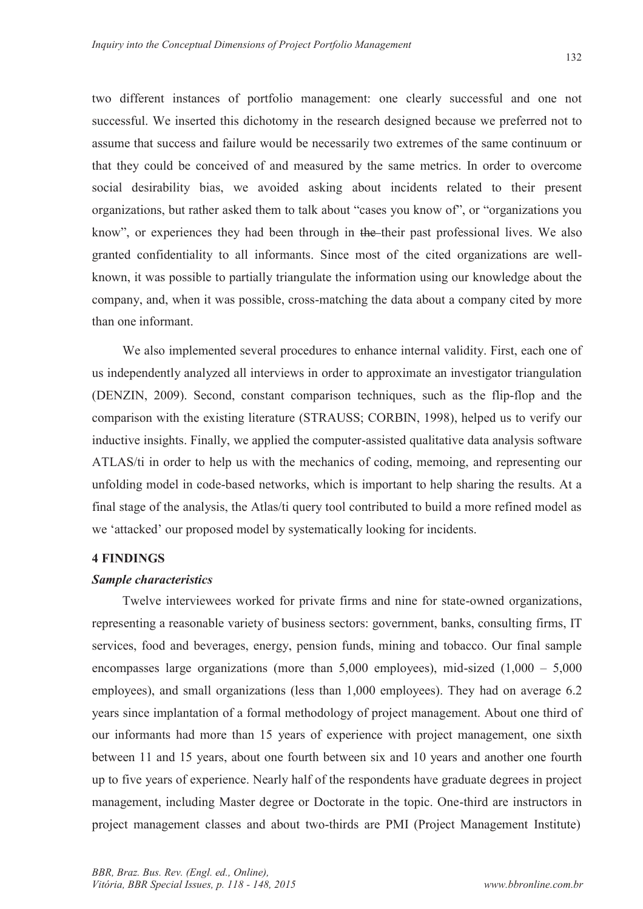two different instances of portfolio management: one clearly successful and one not successful. We inserted this dichotomy in the research designed because we preferred not to assume that success and failure would be necessarily two extremes of the same continuum or that they could be conceived of and measured by the same metrics. In order to overcome social desirability bias, we avoided asking about incidents related to their present organizations, but rather asked them to talk about "cases you know of", or "organizations you know", or experiences they had been through in the their past professional lives. We also granted confidentiality to all informants. Since most of the cited organizations are wellknown, it was possible to partially triangulate the information using our knowledge about the company, and, when it was possible, cross-matching the data about a company cited by more than one informant.

We also implemented several procedures to enhance internal validity. First, each one of us independently analyzed all interviews in order to approximate an investigator triangulation (DENZIN, 2009). Second, constant comparison techniques, such as the flip-flop and the comparison with the existing literature (STRAUSS; CORBIN, 1998), helped us to verify our inductive insights. Finally, we applied the computer-assisted qualitative data analysis software ATLAS/ti in order to help us with the mechanics of coding, memoing, and representing our unfolding model in code-based networks, which is important to help sharing the results. At a final stage of the analysis, the Atlas/ti query tool contributed to build a more refined model as we 'attacked' our proposed model by systematically looking for incidents.

#### **4 FINDINGS**

#### *Sample characteristics*

Twelve interviewees worked for private firms and nine for state-owned organizations, representing a reasonable variety of business sectors: government, banks, consulting firms, IT services, food and beverages, energy, pension funds, mining and tobacco. Our final sample encompasses large organizations (more than  $5,000$  employees), mid-sized  $(1,000 - 5,000)$ employees), and small organizations (less than 1,000 employees). They had on average 6.2 years since implantation of a formal methodology of project management. About one third of our informants had more than 15 years of experience with project management, one sixth between 11 and 15 years, about one fourth between six and 10 years and another one fourth up to five years of experience. Nearly half of the respondents have graduate degrees in project management, including Master degree or Doctorate in the topic. One-third are instructors in project management classes and about two-thirds are PMI (Project Management Institute)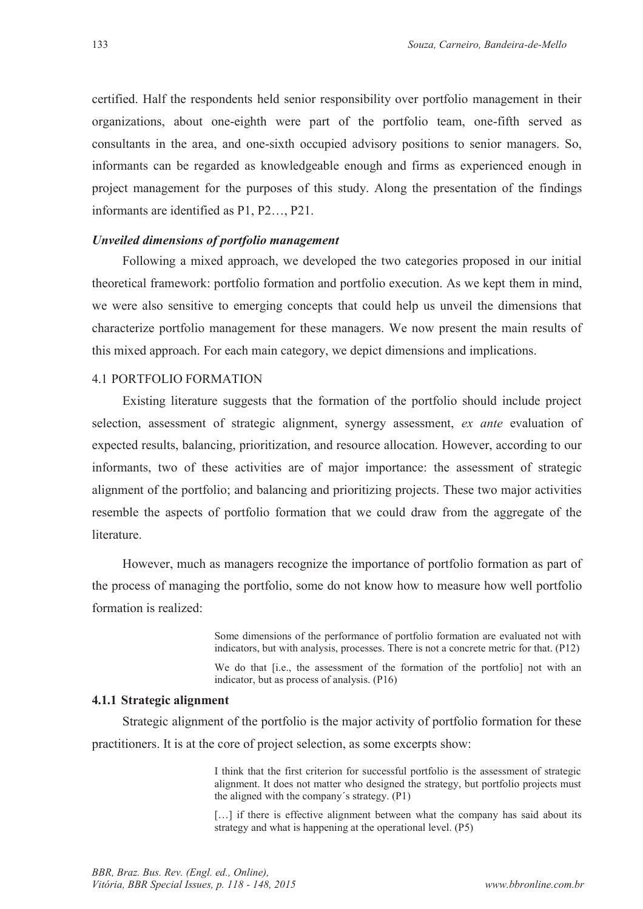certified. Half the respondents held senior responsibility over portfolio management in their organizations, about one-eighth were part of the portfolio team, one-fifth served as consultants in the area, and one-sixth occupied advisory positions to senior managers. So, informants can be regarded as knowledgeable enough and firms as experienced enough in project management for the purposes of this study. Along the presentation of the findings informants are identified as P1, P2…, P21.

#### *Unveiled dimensions of portfolio management*

Following a mixed approach, we developed the two categories proposed in our initial theoretical framework: portfolio formation and portfolio execution. As we kept them in mind, we were also sensitive to emerging concepts that could help us unveil the dimensions that characterize portfolio management for these managers. We now present the main results of this mixed approach. For each main category, we depict dimensions and implications.

#### 4.1 PORTFOLIO FORMATION

Existing literature suggests that the formation of the portfolio should include project selection, assessment of strategic alignment, synergy assessment, *ex ante* evaluation of expected results, balancing, prioritization, and resource allocation. However, according to our informants, two of these activities are of major importance: the assessment of strategic alignment of the portfolio; and balancing and prioritizing projects. These two major activities resemble the aspects of portfolio formation that we could draw from the aggregate of the literature.

However, much as managers recognize the importance of portfolio formation as part of the process of managing the portfolio, some do not know how to measure how well portfolio formation is realized:

> Some dimensions of the performance of portfolio formation are evaluated not with indicators, but with analysis, processes. There is not a concrete metric for that. (P12)

> We do that [i.e., the assessment of the formation of the portfolio] not with an indicator, but as process of analysis. (P16)

#### **4.1.1 Strategic alignment**

Strategic alignment of the portfolio is the major activity of portfolio formation for these practitioners. It is at the core of project selection, as some excerpts show:

> I think that the first criterion for successful portfolio is the assessment of strategic alignment. It does not matter who designed the strategy, but portfolio projects must the aligned with the company´s strategy. (P1)

> [...] if there is effective alignment between what the company has said about its strategy and what is happening at the operational level. (P5)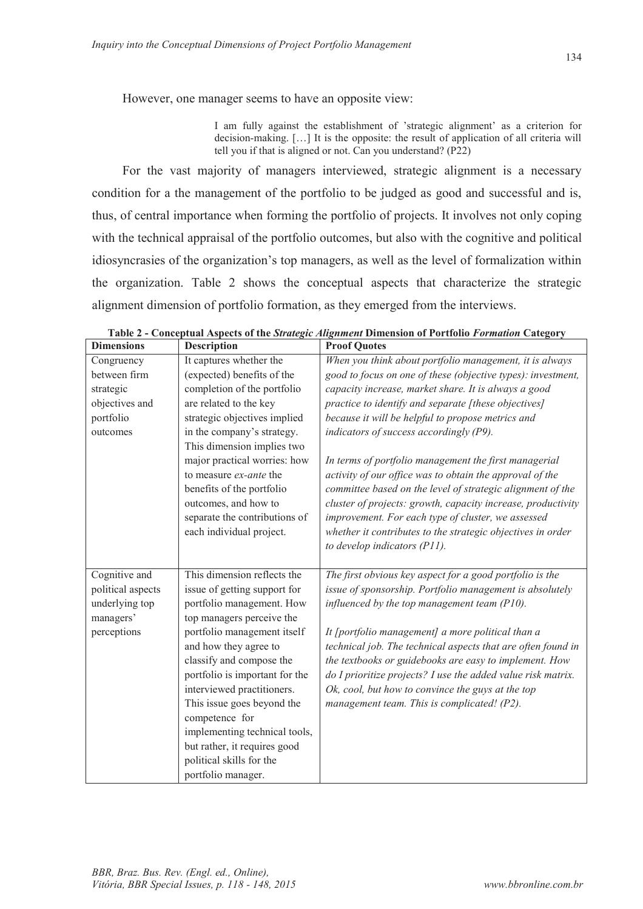However, one manager seems to have an opposite view:

I am fully against the establishment of 'strategic alignment' as a criterion for decision-making. […] It is the opposite: the result of application of all criteria will tell you if that is aligned or not. Can you understand? (P22)

For the vast majority of managers interviewed, strategic alignment is a necessary condition for a the management of the portfolio to be judged as good and successful and is, thus, of central importance when forming the portfolio of projects. It involves not only coping with the technical appraisal of the portfolio outcomes, but also with the cognitive and political idiosyncrasies of the organization's top managers, as well as the level of formalization within the organization. Table 2 shows the conceptual aspects that characterize the strategic alignment dimension of portfolio formation, as they emerged from the interviews.

| <b>Dimensions</b> | <b>Description</b>             | <b>Proof Quotes</b>                                          |
|-------------------|--------------------------------|--------------------------------------------------------------|
| Congruency        | It captures whether the        | When you think about portfolio management, it is always      |
| between firm      | (expected) benefits of the     | good to focus on one of these (objective types): investment, |
| strategic         | completion of the portfolio    | capacity increase, market share. It is always a good         |
| objectives and    | are related to the key         | practice to identify and separate [these objectives]         |
| portfolio         | strategic objectives implied   | because it will be helpful to propose metrics and            |
| outcomes          | in the company's strategy.     | indicators of success accordingly (P9).                      |
|                   | This dimension implies two     |                                                              |
|                   | major practical worries: how   | In terms of portfolio management the first managerial        |
|                   | to measure ex-ante the         | activity of our office was to obtain the approval of the     |
|                   | benefits of the portfolio      | committee based on the level of strategic alignment of the   |
|                   | outcomes, and how to           | cluster of projects: growth, capacity increase, productivity |
|                   | separate the contributions of  | improvement. For each type of cluster, we assessed           |
|                   | each individual project.       | whether it contributes to the strategic objectives in order  |
|                   |                                | to develop indicators (P11).                                 |
|                   |                                |                                                              |
| Cognitive and     | This dimension reflects the    | The first obvious key aspect for a good portfolio is the     |
| political aspects | issue of getting support for   | issue of sponsorship. Portfolio management is absolutely     |
| underlying top    | portfolio management. How      | influenced by the top management team $(PI0)$ .              |
| managers'         | top managers perceive the      |                                                              |
| perceptions       | portfolio management itself    | It [portfolio management] a more political than a            |
|                   | and how they agree to          | technical job. The technical aspects that are often found in |
|                   | classify and compose the       | the textbooks or guidebooks are easy to implement. How       |
|                   | portfolio is important for the | do I prioritize projects? I use the added value risk matrix. |
|                   | interviewed practitioners.     | Ok, cool, but how to convince the guys at the top            |
|                   | This issue goes beyond the     | management team. This is complicated! (P2).                  |
|                   | competence for                 |                                                              |
|                   | implementing technical tools,  |                                                              |
|                   | but rather, it requires good   |                                                              |
|                   | political skills for the       |                                                              |
|                   | portfolio manager.             |                                                              |

**Table 2 - Conceptual Aspects of the** *Strategic Alignment* **Dimension of Portfolio** *Formation* **Category**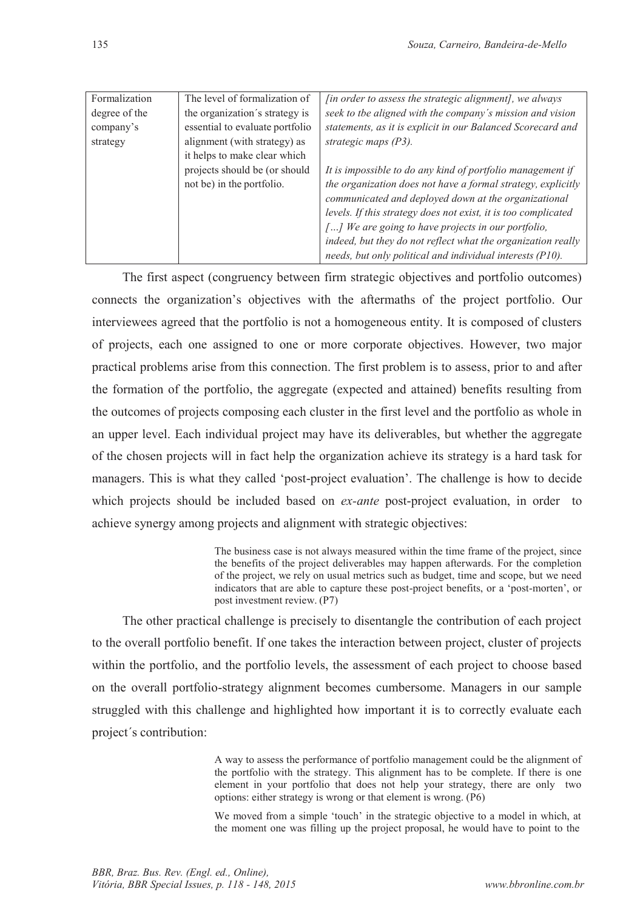| Formalization | The level of formalization of   | <i>[in order to assess the strategic alignment]</i> , we always |
|---------------|---------------------------------|-----------------------------------------------------------------|
| degree of the | the organization's strategy is  | seek to the aligned with the company's mission and vision       |
| company's     | essential to evaluate portfolio | statements, as it is explicit in our Balanced Scorecard and     |
| strategy      | alignment (with strategy) as    | strategic maps $(P3)$ .                                         |
|               | it helps to make clear which    |                                                                 |
|               | projects should be (or should   | It is impossible to do any kind of portfolio management if      |
|               | not be) in the portfolio.       | the organization does not have a formal strategy, explicitly    |
|               |                                 | communicated and deployed down at the organizational            |
|               |                                 | levels. If this strategy does not exist, it is too complicated  |
|               |                                 | [] We are going to have projects in our portfolio,              |
|               |                                 | indeed, but they do not reflect what the organization really    |
|               |                                 | needs, but only political and individual interests (P10).       |

The first aspect (congruency between firm strategic objectives and portfolio outcomes) connects the organization's objectives with the aftermaths of the project portfolio. Our interviewees agreed that the portfolio is not a homogeneous entity. It is composed of clusters of projects, each one assigned to one or more corporate objectives. However, two major practical problems arise from this connection. The first problem is to assess, prior to and after the formation of the portfolio, the aggregate (expected and attained) benefits resulting from the outcomes of projects composing each cluster in the first level and the portfolio as whole in an upper level. Each individual project may have its deliverables, but whether the aggregate of the chosen projects will in fact help the organization achieve its strategy is a hard task for managers. This is what they called 'post-project evaluation'. The challenge is how to decide which projects should be included based on *ex-ante* post-project evaluation, in order to achieve synergy among projects and alignment with strategic objectives:

> The business case is not always measured within the time frame of the project, since the benefits of the project deliverables may happen afterwards. For the completion of the project, we rely on usual metrics such as budget, time and scope, but we need indicators that are able to capture these post-project benefits, or a 'post-morten', or post investment review. (P7)

The other practical challenge is precisely to disentangle the contribution of each project to the overall portfolio benefit. If one takes the interaction between project, cluster of projects within the portfolio, and the portfolio levels, the assessment of each project to choose based on the overall portfolio-strategy alignment becomes cumbersome. Managers in our sample struggled with this challenge and highlighted how important it is to correctly evaluate each project´s contribution:

> A way to assess the performance of portfolio management could be the alignment of the portfolio with the strategy. This alignment has to be complete. If there is one element in your portfolio that does not help your strategy, there are only two options: either strategy is wrong or that element is wrong. (P6)

> We moved from a simple 'touch' in the strategic objective to a model in which, at the moment one was filling up the project proposal, he would have to point to the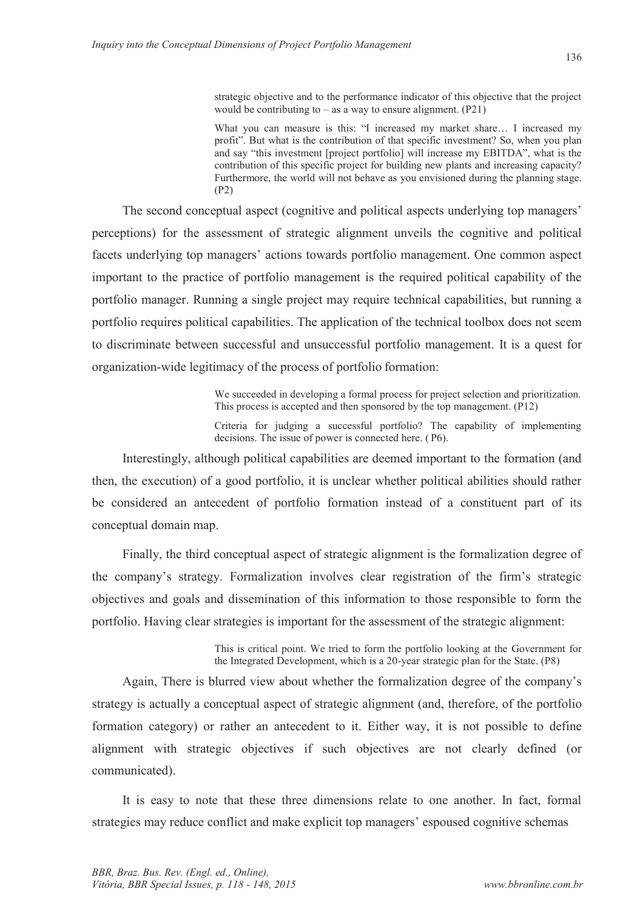strategic objective and to the performance indicator of this objective that the project would be contributing to  $-$  as a way to ensure alignment.  $(P21)$ 

What you can measure is this: "I increased my market share… I increased my profit". But what is the contribution of that specific investment? So, when you plan and say "this investment [project portfolio] will increase my EBITDA", what is the contribution of this specific project for building new plants and increasing capacity? Furthermore, the world will not behave as you envisioned during the planning stage. (P2)

The second conceptual aspect (cognitive and political aspects underlying top managers' perceptions) for the assessment of strategic alignment unveils the cognitive and political facets underlying top managers' actions towards portfolio management. One common aspect important to the practice of portfolio management is the required political capability of the portfolio manager. Running a single project may require technical capabilities, but running a portfolio requires political capabilities. The application of the technical toolbox does not seem to discriminate between successful and unsuccessful portfolio management. It is a quest for organization-wide legitimacy of the process of portfolio formation:

> We succeeded in developing a formal process for project selection and prioritization. This process is accepted and then sponsored by the top management. (P12)

> Criteria for judging a successful portfolio? The capability of implementing decisions. The issue of power is connected here. ( P6).

Interestingly, although political capabilities are deemed important to the formation (and then, the execution) of a good portfolio, it is unclear whether political abilities should rather be considered an antecedent of portfolio formation instead of a constituent part of its conceptual domain map.

Finally, the third conceptual aspect of strategic alignment is the formalization degree of the company's strategy. Formalization involves clear registration of the firm's strategic objectives and goals and dissemination of this information to those responsible to form the portfolio. Having clear strategies is important for the assessment of the strategic alignment:

> This is critical point. We tried to form the portfolio looking at the Government for the Integrated Development, which is a 20-year strategic plan for the State. (P8)

Again, There is blurred view about whether the formalization degree of the company's strategy is actually a conceptual aspect of strategic alignment (and, therefore, of the portfolio formation category) or rather an antecedent to it. Either way, it is not possible to define alignment with strategic objectives if such objectives are not clearly defined (or communicated).

It is easy to note that these three dimensions relate to one another. In fact, formal strategies may reduce conflict and make explicit top managers' espoused cognitive schemas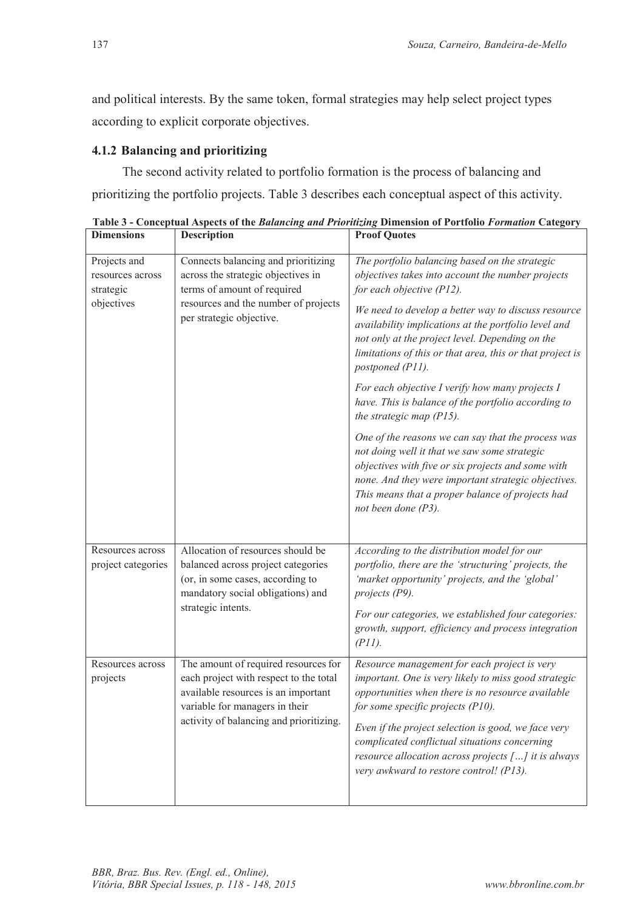and political interests. By the same token, formal strategies may help select project types according to explicit corporate objectives.

## **4.1.2 Balancing and prioritizing**

The second activity related to portfolio formation is the process of balancing and prioritizing the portfolio projects. Table 3 describes each conceptual aspect of this activity.

| <b>Dimensions</b>                             | <b>Description</b>                                                                                                                                                                                 | <b>Proof Quotes</b>                                                                                                                                                                                                                                                                           |
|-----------------------------------------------|----------------------------------------------------------------------------------------------------------------------------------------------------------------------------------------------------|-----------------------------------------------------------------------------------------------------------------------------------------------------------------------------------------------------------------------------------------------------------------------------------------------|
| Projects and<br>resources across<br>strategic | Connects balancing and prioritizing<br>across the strategic objectives in<br>terms of amount of required                                                                                           | The portfolio balancing based on the strategic<br>objectives takes into account the number projects<br>for each objective (P12).                                                                                                                                                              |
| objectives                                    | resources and the number of projects<br>per strategic objective.                                                                                                                                   | We need to develop a better way to discuss resource<br>availability implications at the portfolio level and<br>not only at the project level. Depending on the<br>limitations of this or that area, this or that project is<br>postponed (P11).                                               |
|                                               |                                                                                                                                                                                                    | For each objective I verify how many projects I<br>have. This is balance of the portfolio according to<br>the strategic map $(PI5)$ .                                                                                                                                                         |
|                                               |                                                                                                                                                                                                    | One of the reasons we can say that the process was<br>not doing well it that we saw some strategic<br>objectives with five or six projects and some with<br>none. And they were important strategic objectives.<br>This means that a proper balance of projects had<br>not been done $(P3)$ . |
| Resources across                              | Allocation of resources should be                                                                                                                                                                  | According to the distribution model for our                                                                                                                                                                                                                                                   |
| project categories                            | balanced across project categories<br>(or, in some cases, according to<br>mandatory social obligations) and<br>strategic intents.                                                                  | portfolio, there are the 'structuring' projects, the<br>'market opportunity' projects, and the 'global'<br>projects (P9).                                                                                                                                                                     |
|                                               |                                                                                                                                                                                                    | For our categories, we established four categories:<br>growth, support, efficiency and process integration<br>(PII).                                                                                                                                                                          |
| Resources across<br>projects                  | The amount of required resources for<br>each project with respect to the total<br>available resources is an important<br>variable for managers in their<br>activity of balancing and prioritizing. | Resource management for each project is very<br>important. One is very likely to miss good strategic<br>opportunities when there is no resource available<br>for some specific projects $(PI0)$ .                                                                                             |
|                                               |                                                                                                                                                                                                    | Even if the project selection is good, we face very<br>complicated conflictual situations concerning<br>resource allocation across projects $[]$ it is always<br>very awkward to restore control! (P13).                                                                                      |
|                                               |                                                                                                                                                                                                    |                                                                                                                                                                                                                                                                                               |

**Table 3 - Conceptual Aspects of the** *Balancing and Prioritizing* **Dimension of Portfolio** *Formation* **Category**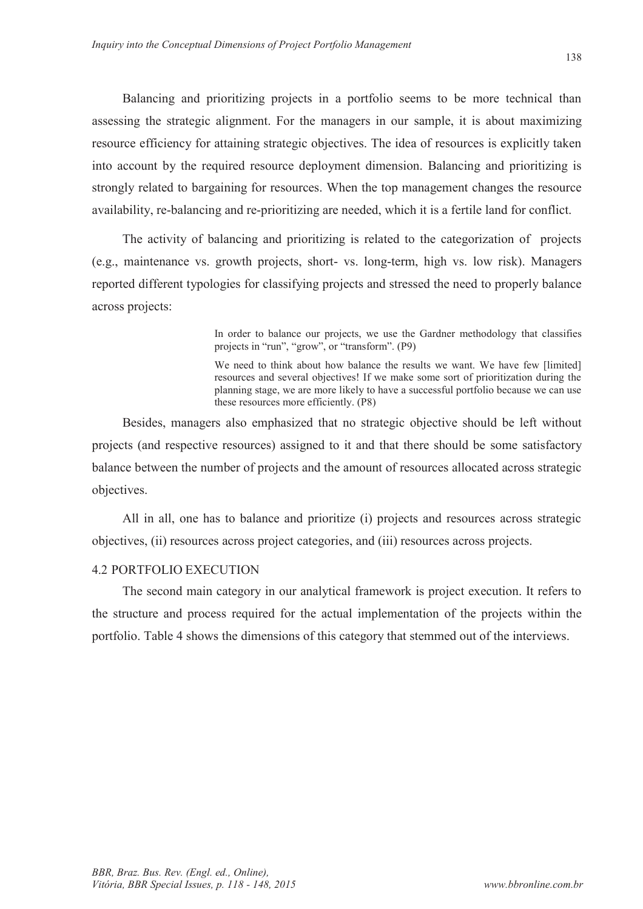Balancing and prioritizing projects in a portfolio seems to be more technical than assessing the strategic alignment. For the managers in our sample, it is about maximizing resource efficiency for attaining strategic objectives. The idea of resources is explicitly taken into account by the required resource deployment dimension. Balancing and prioritizing is strongly related to bargaining for resources. When the top management changes the resource availability, re-balancing and re-prioritizing are needed, which it is a fertile land for conflict.

The activity of balancing and prioritizing is related to the categorization of projects (e.g., maintenance vs. growth projects, short- vs. long-term, high vs. low risk). Managers reported different typologies for classifying projects and stressed the need to properly balance across projects:

> In order to balance our projects, we use the Gardner methodology that classifies projects in "run", "grow", or "transform". (P9)

> We need to think about how balance the results we want. We have few [limited] resources and several objectives! If we make some sort of prioritization during the planning stage, we are more likely to have a successful portfolio because we can use these resources more efficiently. (P8)

Besides, managers also emphasized that no strategic objective should be left without projects (and respective resources) assigned to it and that there should be some satisfactory balance between the number of projects and the amount of resources allocated across strategic objectives.

All in all, one has to balance and prioritize (i) projects and resources across strategic objectives, (ii) resources across project categories, and (iii) resources across projects.

#### 4.2 PORTFOLIO EXECUTION

The second main category in our analytical framework is project execution. It refers to the structure and process required for the actual implementation of the projects within the portfolio. Table 4 shows the dimensions of this category that stemmed out of the interviews.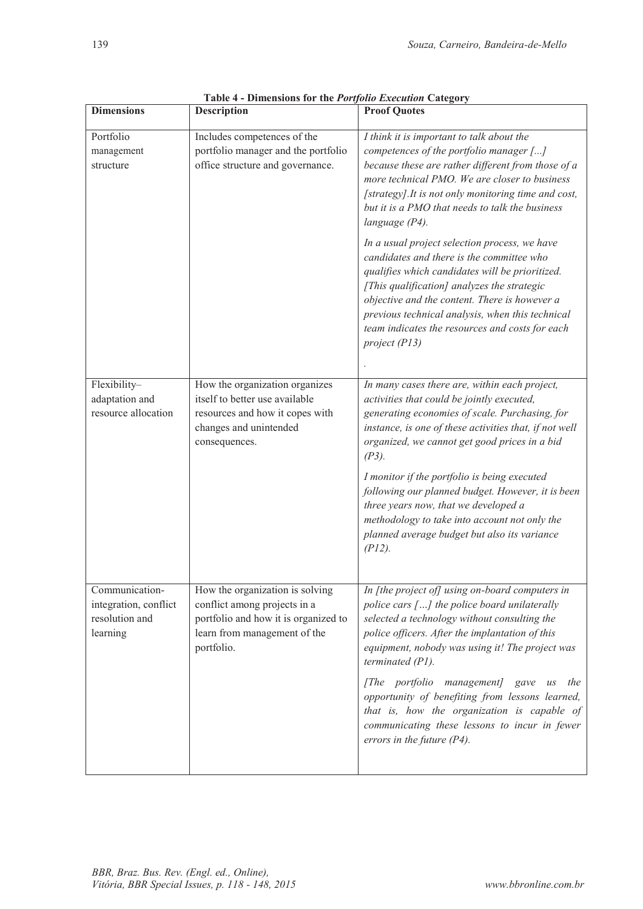| <b>Dimensions</b>                                                     | <b>Description</b>                                                                                                                                    | <b>Proof Quotes</b>                                                                                                                                                                                                                                                                                                                                                   |
|-----------------------------------------------------------------------|-------------------------------------------------------------------------------------------------------------------------------------------------------|-----------------------------------------------------------------------------------------------------------------------------------------------------------------------------------------------------------------------------------------------------------------------------------------------------------------------------------------------------------------------|
| Portfolio<br>management<br>structure                                  | Includes competences of the<br>portfolio manager and the portfolio<br>office structure and governance.                                                | I think it is important to talk about the<br>competences of the portfolio manager []<br>because these are rather different from those of a<br>more technical PMO. We are closer to business<br>[strategy]. It is not only monitoring time and cost,<br>but it is a PMO that needs to talk the business<br>language (P4).                                              |
|                                                                       |                                                                                                                                                       | In a usual project selection process, we have<br>candidates and there is the committee who<br>qualifies which candidates will be prioritized.<br>[This qualification] analyzes the strategic<br>objective and the content. There is however a<br>previous technical analysis, when this technical<br>team indicates the resources and costs for each<br>project (P13) |
| Flexibility-                                                          | How the organization organizes                                                                                                                        | In many cases there are, within each project,                                                                                                                                                                                                                                                                                                                         |
| adaptation and<br>resource allocation                                 | itself to better use available<br>resources and how it copes with<br>changes and unintended<br>consequences.                                          | activities that could be jointly executed,<br>generating economies of scale. Purchasing, for<br>instance, is one of these activities that, if not well<br>organized, we cannot get good prices in a bid<br>$(P3)$ .                                                                                                                                                   |
|                                                                       |                                                                                                                                                       | I monitor if the portfolio is being executed<br>following our planned budget. However, it is been<br>three years now, that we developed a<br>methodology to take into account not only the<br>planned average budget but also its variance<br>(PI2).                                                                                                                  |
| Communication-<br>integration, conflict<br>resolution and<br>learning | How the organization is solving<br>conflict among projects in a<br>portfolio and how it is organized to<br>learn from management of the<br>portfolio. | In [the project of] using on-board computers in<br>police cars [] the police board unilaterally<br>selected a technology without consulting the<br>police officers. After the implantation of this<br>equipment, nobody was using it! The project was<br>terminated (P1).                                                                                             |
|                                                                       |                                                                                                                                                       | [The portfolio management]<br>the<br>gave<br>$\mathcal{U}\mathcal{S}$<br>opportunity of benefiting from lessons learned,<br>that is, how the organization is capable of<br>communicating these lessons to incur in fewer<br>errors in the future $(P4)$ .                                                                                                             |

**Table 4 - Dimensions for the** *Portfolio Execution* **Category**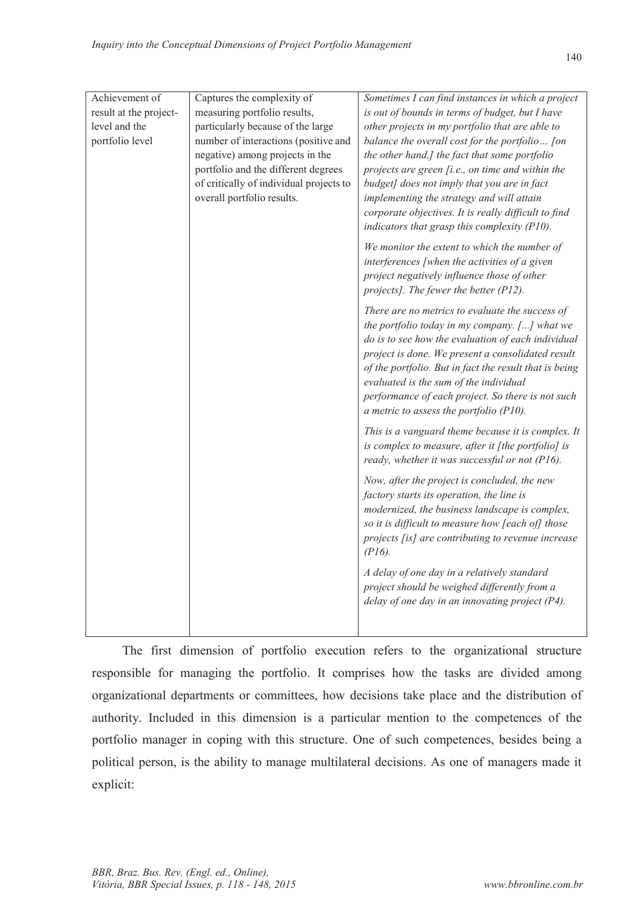| Achievement of         | Captures the complexity of              | Sometimes I can find instances in which a project      |
|------------------------|-----------------------------------------|--------------------------------------------------------|
| result at the project- | measuring portfolio results,            | is out of bounds in terms of budget, but I have        |
| level and the          | particularly because of the large       | other projects in my portfolio that are able to        |
| portfolio level        | number of interactions (positive and    | balance the overall cost for the portfolio [on         |
|                        | negative) among projects in the         | the other hand,] the fact that some portfolio          |
|                        | portfolio and the different degrees     | projects are green [i.e., on time and within the       |
|                        | of critically of individual projects to | budget] does not imply that you are in fact            |
|                        | overall portfolio results.              | implementing the strategy and will attain              |
|                        |                                         | corporate objectives. It is really difficult to find   |
|                        |                                         | indicators that grasp this complexity (P10).           |
|                        |                                         | We monitor the extent to which the number of           |
|                        |                                         | interferences [when the activities of a given          |
|                        |                                         | project negatively influence those of other            |
|                        |                                         | projects]. The fewer the better (P12).                 |
|                        |                                         | There are no metrics to evaluate the success of        |
|                        |                                         | the portfolio today in my company. [] what we          |
|                        |                                         | do is to see how the evaluation of each individual     |
|                        |                                         | project is done. We present a consolidated result      |
|                        |                                         | of the portfolio. But in fact the result that is being |
|                        |                                         | evaluated is the sum of the individual                 |
|                        |                                         | performance of each project. So there is not such      |
|                        |                                         | a metric to assess the portfolio (P10).                |
|                        |                                         | This is a vanguard theme because it is complex. It     |
|                        |                                         | is complex to measure, after it [the portfolio] is     |
|                        |                                         | ready, whether it was successful or not (P16).         |
|                        |                                         | Now, after the project is concluded, the new           |
|                        |                                         | factory starts its operation, the line is              |
|                        |                                         | modernized, the business landscape is complex,         |
|                        |                                         | so it is difficult to measure how [each of] those      |
|                        |                                         | projects [is] are contributing to revenue increase     |
|                        |                                         | $(PI6)$ .                                              |
|                        |                                         | A delay of one day in a relatively standard            |
|                        |                                         | project should be weighed differently from a           |
|                        |                                         | delay of one day in an innovating project (P4).        |
|                        |                                         |                                                        |

The first dimension of portfolio execution refers to the organizational structure responsible for managing the portfolio. It comprises how the tasks are divided among organizational departments or committees, how decisions take place and the distribution of authority. Included in this dimension is a particular mention to the competences of the portfolio manager in coping with this structure. One of such competences, besides being a political person, is the ability to manage multilateral decisions. As one of managers made it explicit: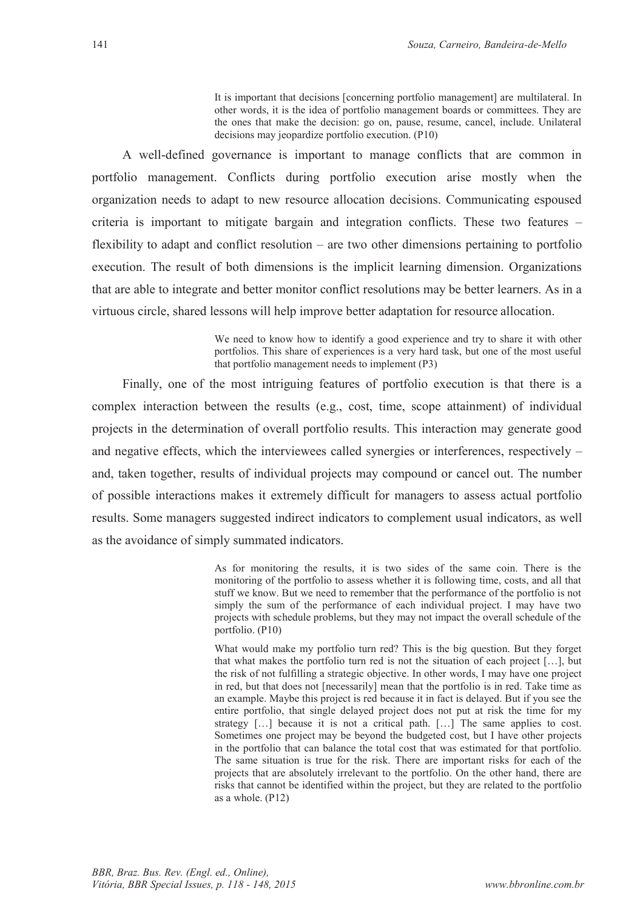It is important that decisions [concerning portfolio management] are multilateral. In other words, it is the idea of portfolio management boards or committees. They are the ones that make the decision: go on, pause, resume, cancel, include. Unilateral decisions may jeopardize portfolio execution. (P10)

A well-defined governance is important to manage conflicts that are common in portfolio management. Conflicts during portfolio execution arise mostly when the organization needs to adapt to new resource allocation decisions. Communicating espoused criteria is important to mitigate bargain and integration conflicts. These two features – flexibility to adapt and conflict resolution – are two other dimensions pertaining to portfolio execution. The result of both dimensions is the implicit learning dimension. Organizations that are able to integrate and better monitor conflict resolutions may be better learners. As in a virtuous circle, shared lessons will help improve better adaptation for resource allocation.

> We need to know how to identify a good experience and try to share it with other portfolios. This share of experiences is a very hard task, but one of the most useful that portfolio management needs to implement (P3)

Finally, one of the most intriguing features of portfolio execution is that there is a complex interaction between the results (e.g., cost, time, scope attainment) of individual projects in the determination of overall portfolio results. This interaction may generate good and negative effects, which the interviewees called synergies or interferences, respectively – and, taken together, results of individual projects may compound or cancel out. The number of possible interactions makes it extremely difficult for managers to assess actual portfolio results. Some managers suggested indirect indicators to complement usual indicators, as well as the avoidance of simply summated indicators.

> As for monitoring the results, it is two sides of the same coin. There is the monitoring of the portfolio to assess whether it is following time, costs, and all that stuff we know. But we need to remember that the performance of the portfolio is not simply the sum of the performance of each individual project. I may have two projects with schedule problems, but they may not impact the overall schedule of the portfolio. (P10)

> What would make my portfolio turn red? This is the big question. But they forget that what makes the portfolio turn red is not the situation of each project […], but the risk of not fulfilling a strategic objective. In other words, I may have one project in red, but that does not [necessarily] mean that the portfolio is in red. Take time as an example. Maybe this project is red because it in fact is delayed. But if you see the entire portfolio, that single delayed project does not put at risk the time for my strategy […] because it is not a critical path. […] The same applies to cost. Sometimes one project may be beyond the budgeted cost, but I have other projects in the portfolio that can balance the total cost that was estimated for that portfolio. The same situation is true for the risk. There are important risks for each of the projects that are absolutely irrelevant to the portfolio. On the other hand, there are risks that cannot be identified within the project, but they are related to the portfolio as a whole. (P12)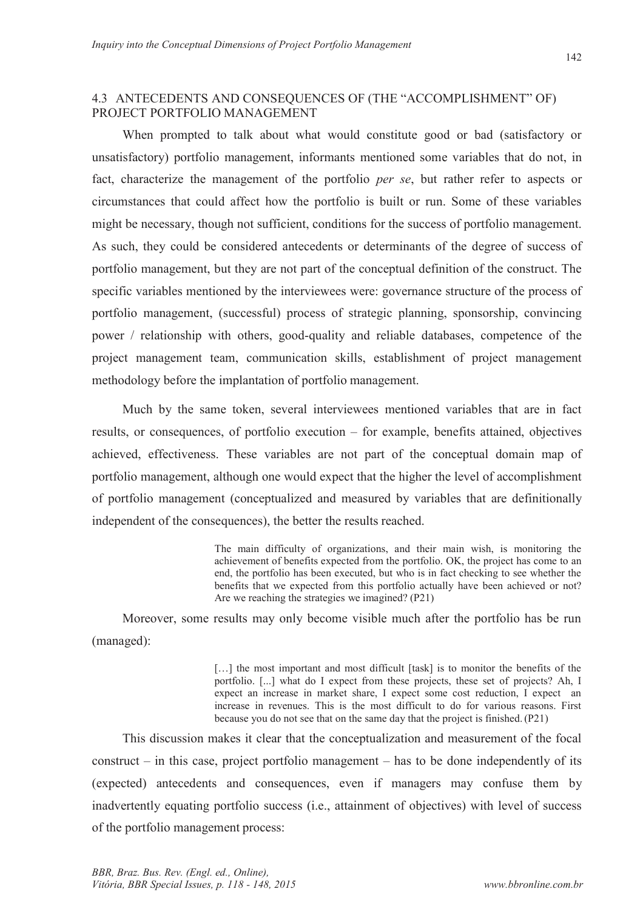### 4.3 ANTECEDENTS AND CONSEQUENCES OF (THE "ACCOMPLISHMENT" OF) PROJECT PORTFOLIO MANAGEMENT

When prompted to talk about what would constitute good or bad (satisfactory or unsatisfactory) portfolio management, informants mentioned some variables that do not, in fact, characterize the management of the portfolio *per se*, but rather refer to aspects or circumstances that could affect how the portfolio is built or run. Some of these variables might be necessary, though not sufficient, conditions for the success of portfolio management. As such, they could be considered antecedents or determinants of the degree of success of portfolio management, but they are not part of the conceptual definition of the construct. The specific variables mentioned by the interviewees were: governance structure of the process of portfolio management, (successful) process of strategic planning, sponsorship, convincing power / relationship with others, good-quality and reliable databases, competence of the project management team, communication skills, establishment of project management methodology before the implantation of portfolio management.

Much by the same token, several interviewees mentioned variables that are in fact results, or consequences, of portfolio execution – for example, benefits attained, objectives achieved, effectiveness. These variables are not part of the conceptual domain map of portfolio management, although one would expect that the higher the level of accomplishment of portfolio management (conceptualized and measured by variables that are definitionally independent of the consequences), the better the results reached.

> The main difficulty of organizations, and their main wish, is monitoring the achievement of benefits expected from the portfolio. OK, the project has come to an end, the portfolio has been executed, but who is in fact checking to see whether the benefits that we expected from this portfolio actually have been achieved or not? Are we reaching the strategies we imagined? (P21)

Moreover, some results may only become visible much after the portfolio has be run (managed):

> [...] the most important and most difficult [task] is to monitor the benefits of the portfolio. [...] what do I expect from these projects, these set of projects? Ah, I expect an increase in market share, I expect some cost reduction, I expect an increase in revenues. This is the most difficult to do for various reasons. First because you do not see that on the same day that the project is finished. (P21)

This discussion makes it clear that the conceptualization and measurement of the focal construct – in this case, project portfolio management – has to be done independently of its (expected) antecedents and consequences, even if managers may confuse them by inadvertently equating portfolio success (i.e., attainment of objectives) with level of success of the portfolio management process: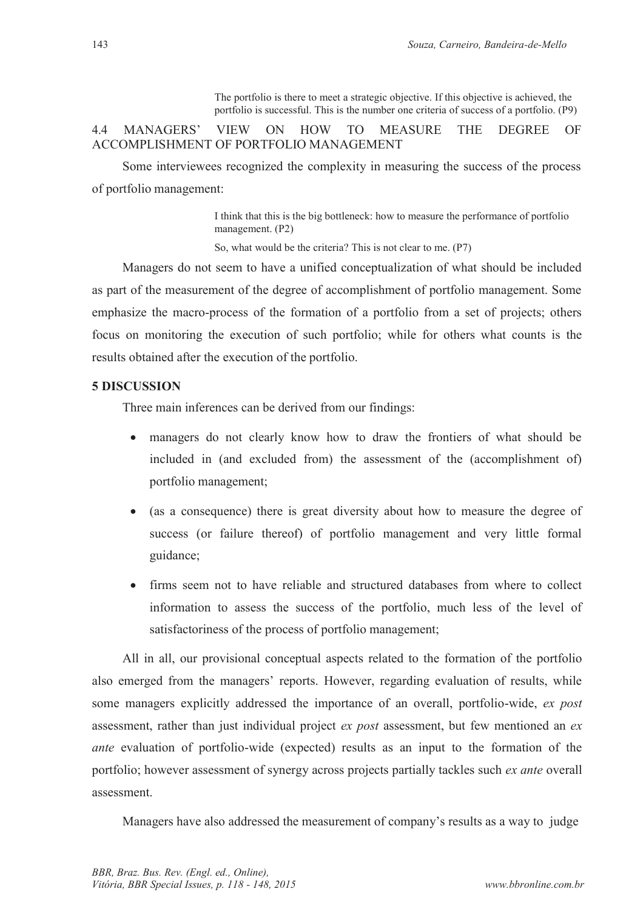The portfolio is there to meet a strategic objective. If this objective is achieved, the portfolio is successful. This is the number one criteria of success of a portfolio. (P9)

## 4.4 MANAGERS' VIEW ON HOW TO MEASURE THE DEGREE OF ACCOMPLISHMENT OF PORTFOLIO MANAGEMENT

Some interviewees recognized the complexity in measuring the success of the process of portfolio management:

> I think that this is the big bottleneck: how to measure the performance of portfolio management. (P2)

So, what would be the criteria? This is not clear to me. (P7)

Managers do not seem to have a unified conceptualization of what should be included as part of the measurement of the degree of accomplishment of portfolio management. Some emphasize the macro-process of the formation of a portfolio from a set of projects; others focus on monitoring the execution of such portfolio; while for others what counts is the results obtained after the execution of the portfolio.

## **5 DISCUSSION**

Three main inferences can be derived from our findings:

- managers do not clearly know how to draw the frontiers of what should be included in (and excluded from) the assessment of the (accomplishment of) portfolio management;
- · (as a consequence) there is great diversity about how to measure the degree of success (or failure thereof) of portfolio management and very little formal guidance;
- · firms seem not to have reliable and structured databases from where to collect information to assess the success of the portfolio, much less of the level of satisfactoriness of the process of portfolio management;

All in all, our provisional conceptual aspects related to the formation of the portfolio also emerged from the managers' reports. However, regarding evaluation of results, while some managers explicitly addressed the importance of an overall, portfolio-wide, *ex post*  assessment, rather than just individual project *ex post* assessment, but few mentioned an *ex ante* evaluation of portfolio-wide (expected) results as an input to the formation of the portfolio; however assessment of synergy across projects partially tackles such *ex ante* overall assessment.

Managers have also addressed the measurement of company's results as a way to judge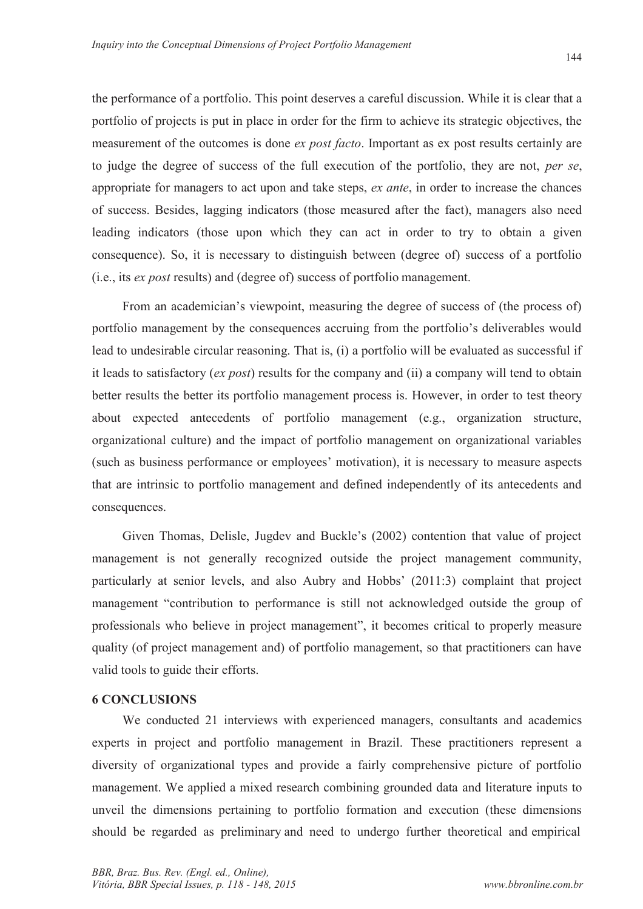the performance of a portfolio. This point deserves a careful discussion. While it is clear that a portfolio of projects is put in place in order for the firm to achieve its strategic objectives, the measurement of the outcomes is done *ex post facto*. Important as ex post results certainly are to judge the degree of success of the full execution of the portfolio, they are not, *per se*, appropriate for managers to act upon and take steps, *ex ante*, in order to increase the chances of success. Besides, lagging indicators (those measured after the fact), managers also need leading indicators (those upon which they can act in order to try to obtain a given consequence). So, it is necessary to distinguish between (degree of) success of a portfolio (i.e., its *ex post* results) and (degree of) success of portfolio management.

From an academician's viewpoint, measuring the degree of success of (the process of) portfolio management by the consequences accruing from the portfolio's deliverables would lead to undesirable circular reasoning. That is, (i) a portfolio will be evaluated as successful if it leads to satisfactory (*ex post*) results for the company and (ii) a company will tend to obtain better results the better its portfolio management process is. However, in order to test theory about expected antecedents of portfolio management (e.g., organization structure, organizational culture) and the impact of portfolio management on organizational variables (such as business performance or employees' motivation), it is necessary to measure aspects that are intrinsic to portfolio management and defined independently of its antecedents and consequences.

Given Thomas, Delisle, Jugdev and Buckle's (2002) contention that value of project management is not generally recognized outside the project management community, particularly at senior levels, and also Aubry and Hobbs' (2011:3) complaint that project management "contribution to performance is still not acknowledged outside the group of professionals who believe in project management", it becomes critical to properly measure quality (of project management and) of portfolio management, so that practitioners can have valid tools to guide their efforts.

#### **6 CONCLUSIONS**

We conducted 21 interviews with experienced managers, consultants and academics experts in project and portfolio management in Brazil. These practitioners represent a diversity of organizational types and provide a fairly comprehensive picture of portfolio management. We applied a mixed research combining grounded data and literature inputs to unveil the dimensions pertaining to portfolio formation and execution (these dimensions should be regarded as preliminary and need to undergo further theoretical and empirical

144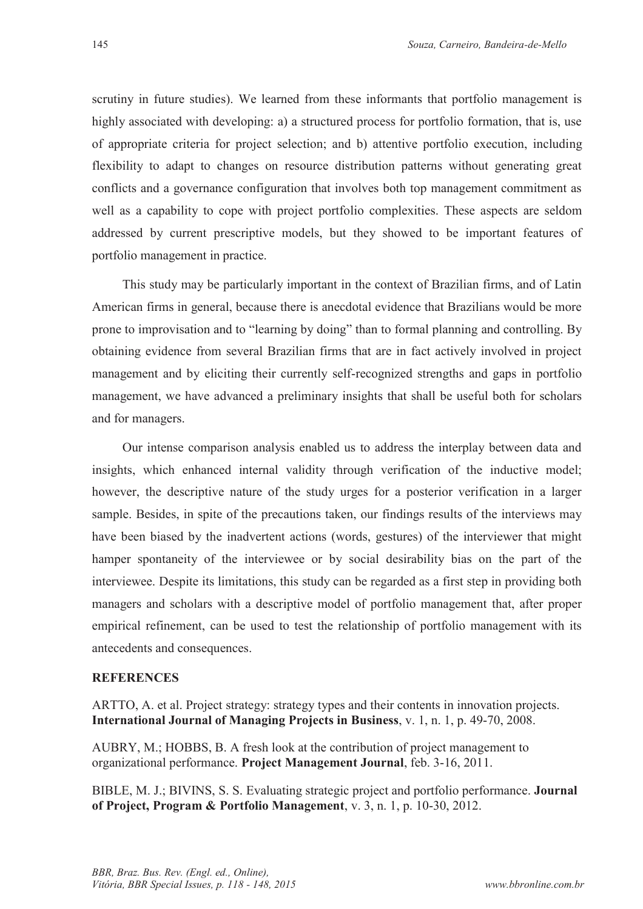scrutiny in future studies). We learned from these informants that portfolio management is highly associated with developing: a) a structured process for portfolio formation, that is, use of appropriate criteria for project selection; and b) attentive portfolio execution, including flexibility to adapt to changes on resource distribution patterns without generating great conflicts and a governance configuration that involves both top management commitment as well as a capability to cope with project portfolio complexities. These aspects are seldom addressed by current prescriptive models, but they showed to be important features of portfolio management in practice.

This study may be particularly important in the context of Brazilian firms, and of Latin American firms in general, because there is anecdotal evidence that Brazilians would be more prone to improvisation and to "learning by doing" than to formal planning and controlling. By obtaining evidence from several Brazilian firms that are in fact actively involved in project management and by eliciting their currently self-recognized strengths and gaps in portfolio management, we have advanced a preliminary insights that shall be useful both for scholars and for managers.

Our intense comparison analysis enabled us to address the interplay between data and insights, which enhanced internal validity through verification of the inductive model; however, the descriptive nature of the study urges for a posterior verification in a larger sample. Besides, in spite of the precautions taken, our findings results of the interviews may have been biased by the inadvertent actions (words, gestures) of the interviewer that might hamper spontaneity of the interviewee or by social desirability bias on the part of the interviewee. Despite its limitations, this study can be regarded as a first step in providing both managers and scholars with a descriptive model of portfolio management that, after proper empirical refinement, can be used to test the relationship of portfolio management with its antecedents and consequences.

#### **REFERENCES**

ARTTO, A. et al. Project strategy: strategy types and their contents in innovation projects. **International Journal of Managing Projects in Business**, v. 1, n. 1, p. 49-70, 2008.

AUBRY, M.; HOBBS, B. A fresh look at the contribution of project management to organizational performance. **Project Management Journal**, feb. 3-16, 2011.

BIBLE, M. J.; BIVINS, S. S. Evaluating strategic project and portfolio performance. **Journal of Project, Program & Portfolio Management**, v. 3, n. 1, p. 10-30, 2012.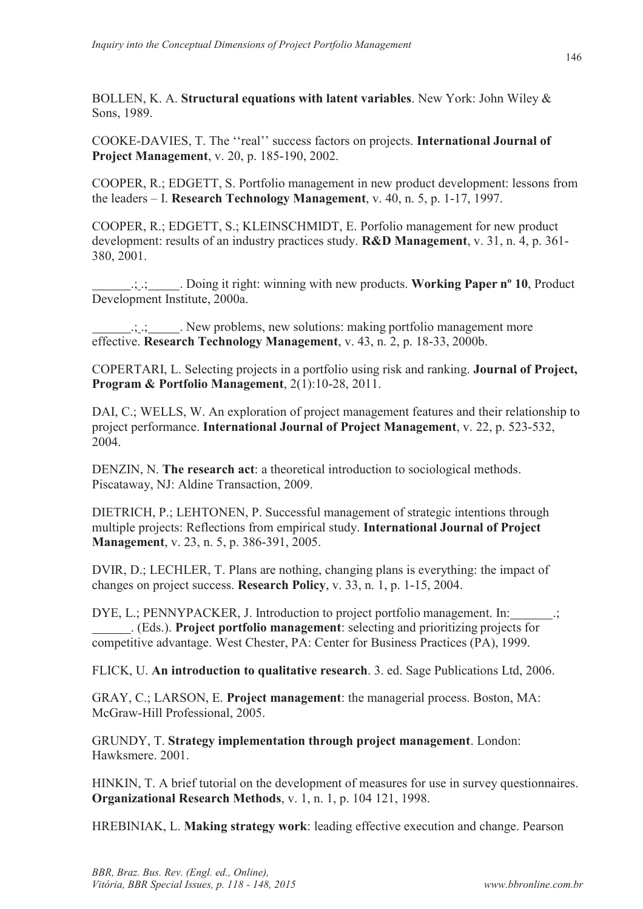BOLLEN, K. A. **Structural equations with latent variables**. New York: John Wiley & Sons, 1989.

COOKE-DAVIES, T. The ''real'' success factors on projects. **International Journal of Project Management**, v. 20, p. 185-190, 2002.

COOPER, R.; EDGETT, S. Portfolio management in new product development: lessons from the leaders – I. **Research Technology Management**, v. 40, n. 5, p. 1-17, 1997.

COOPER, R.; EDGETT, S.; KLEINSCHMIDT, E. Porfolio management for new product development: results of an industry practices study. **R&D Management**, v. 31, n. 4, p. 361- 380, 2001.

 .; .; . Doing it right: winning with new products. **Working Paper nº 10**, Product Development Institute, 2000a.

 .; .; . New problems, new solutions: making portfolio management more effective. **Research Technology Management**, v. 43, n. 2, p. 18-33, 2000b.

COPERTARI, L. Selecting projects in a portfolio using risk and ranking. **Journal of Project, Program & Portfolio Management**, 2(1):10-28, 2011.

DAI, C.; WELLS, W. An exploration of project management features and their relationship to project performance. **International Journal of Project Management**, v. 22, p. 523-532, 2004.

DENZIN, N. **The research act**: a theoretical introduction to sociological methods. Piscataway, NJ: Aldine Transaction, 2009.

DIETRICH, P.; LEHTONEN, P. Successful management of strategic intentions through multiple projects: Reflections from empirical study. **International Journal of Project Management**, v. 23, n. 5, p. 386-391, 2005.

DVIR, D.; LECHLER, T. Plans are nothing, changing plans is everything: the impact of changes on project success. **Research Policy**, v. 33, n. 1, p. 1-15, 2004.

DYE, L.; PENNYPACKER, J. Introduction to project portfolio management. In: . (Eds.). **Project portfolio management**: selecting and prioritizing projects for competitive advantage. West Chester, PA: Center for Business Practices (PA), 1999.

FLICK, U. **An introduction to qualitative research**. 3. ed. Sage Publications Ltd, 2006.

GRAY, C.; LARSON, E. **Project management**: the managerial process. Boston, MA: McGraw-Hill Professional, 2005.

GRUNDY, T. **Strategy implementation through project management**. London: Hawksmere. 2001.

HINKIN, T. A brief tutorial on the development of measures for use in survey questionnaires. **Organizational Research Methods**, v. 1, n. 1, p. 104 121, 1998.

HREBINIAK, L. **Making strategy work**: leading effective execution and change. Pearson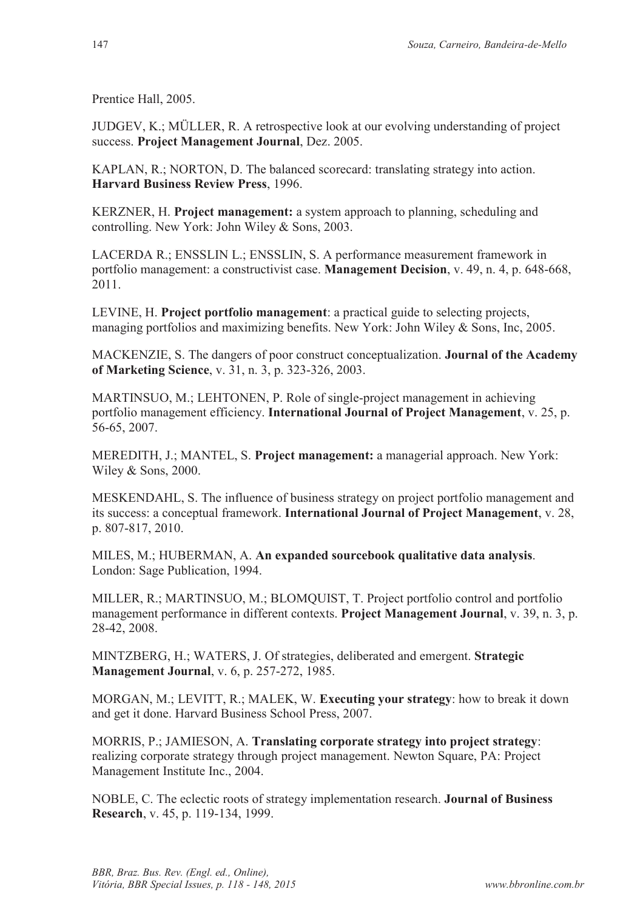Prentice Hall, 2005.

JUDGEV, K.; MÜLLER, R. A retrospective look at our evolving understanding of project success. **Project Management Journal**, Dez. 2005.

KAPLAN, R.; NORTON, D. The balanced scorecard: translating strategy into action. **Harvard Business Review Press**, 1996.

KERZNER, H. **Project management:** a system approach to planning, scheduling and controlling. New York: John Wiley & Sons, 2003.

LACERDA R.; ENSSLIN L.; ENSSLIN, S. A performance measurement framework in portfolio management: a constructivist case. **Management Decision**, v. 49, n. 4, p. 648-668, 2011.

LEVINE, H. **Project portfolio management**: a practical guide to selecting projects, managing portfolios and maximizing benefits. New York: John Wiley & Sons, Inc, 2005.

MACKENZIE, S. The dangers of poor construct conceptualization. **Journal of the Academy of Marketing Science**, v. 31, n. 3, p. 323-326, 2003.

MARTINSUO, M.; LEHTONEN, P. Role of single-project management in achieving portfolio management efficiency. **International Journal of Project Management**, v. 25, p. 56-65, 2007.

MEREDITH, J.; MANTEL, S. **Project management:** a managerial approach. New York: Wiley & Sons, 2000.

MESKENDAHL, S. The influence of business strategy on project portfolio management and its success: a conceptual framework. **International Journal of Project Management**, v. 28, p. 807-817, 2010.

MILES, M.; HUBERMAN, A. **An expanded sourcebook qualitative data analysis**. London: Sage Publication, 1994.

MILLER, R.; MARTINSUO, M.; BLOMQUIST, T. Project portfolio control and portfolio management performance in different contexts. **Project Management Journal**, v. 39, n. 3, p. 28-42, 2008.

MINTZBERG, H.; WATERS, J. Of strategies, deliberated and emergent. **Strategic Management Journal**, v. 6, p. 257-272, 1985.

MORGAN, M.; LEVITT, R.; MALEK, W. **Executing your strategy**: how to break it down and get it done. Harvard Business School Press, 2007.

MORRIS, P.; JAMIESON, A. **Translating corporate strategy into project strategy**: realizing corporate strategy through project management. Newton Square, PA: Project Management Institute Inc., 2004.

NOBLE, C. The eclectic roots of strategy implementation research. **Journal of Business Research**, v. 45, p. 119-134, 1999.